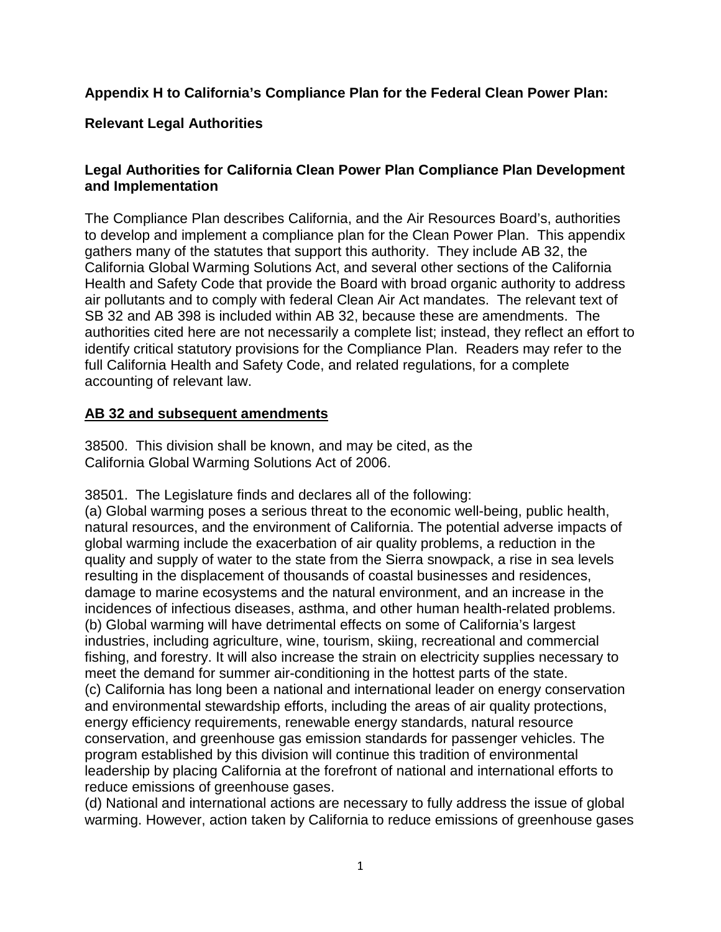# **Appendix H to California's Compliance Plan for the Federal Clean Power Plan:**

### **Relevant Legal Authorities**

### **Legal Authorities for California Clean Power Plan Compliance Plan Development and Implementation**

 to develop and implement a compliance plan for the Clean Power Plan. This appendix California Global Warming Solutions Act, and several other sections of the California air pollutants and to comply with federal Clean Air Act mandates. The relevant text of SB 32 and AB 398 is included within AB 32, because these are amendments. The The Compliance Plan describes California, and the Air Resources Board's, authorities gathers many of the statutes that support this authority. They include AB 32, the Health and Safety Code that provide the Board with broad organic authority to address authorities cited here are not necessarily a complete list; instead, they reflect an effort to identify critical statutory provisions for the Compliance Plan. Readers may refer to the full California Health and Safety Code, and related regulations, for a complete accounting of relevant law.

#### **AB 32 and subsequent amendments**

38500. This division shall be known, and may be cited, as the California Global Warming Solutions Act of 2006.

38501. The Legislature finds and declares all of the following:

 resulting in the displacement of thousands of coastal businesses and residences, (a) Global warming poses a serious threat to the economic well-being, public health, natural resources, and the environment of California. The potential adverse impacts of global warming include the exacerbation of air quality problems, a reduction in the quality and supply of water to the state from the Sierra snowpack, a rise in sea levels damage to marine ecosystems and the natural environment, and an increase in the incidences of infectious diseases, asthma, and other human health-related problems. (b) Global warming will have detrimental effects on some of California's largest industries, including agriculture, wine, tourism, skiing, recreational and commercial fishing, and forestry. It will also increase the strain on electricity supplies necessary to meet the demand for summer air-conditioning in the hottest parts of the state. (c) California has long been a national and international leader on energy conservation and environmental stewardship efforts, including the areas of air quality protections, energy efficiency requirements, renewable energy standards, natural resource conservation, and greenhouse gas emission standards for passenger vehicles. The program established by this division will continue this tradition of environmental leadership by placing California at the forefront of national and international efforts to reduce emissions of greenhouse gases.

(d) National and international actions are necessary to fully address the issue of global warming. However, action taken by California to reduce emissions of greenhouse gases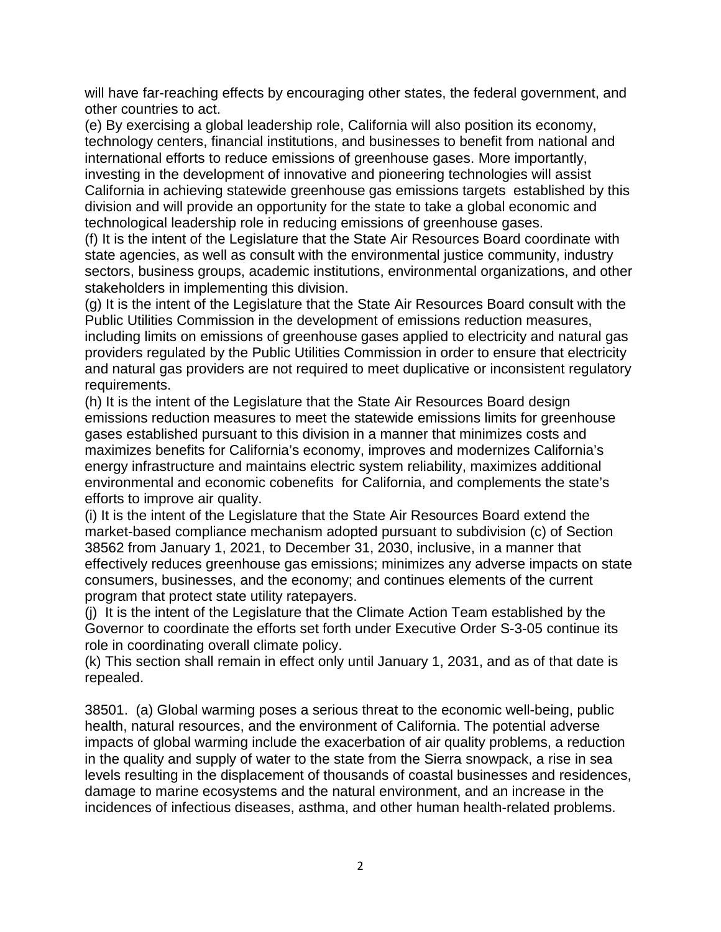will have far-reaching effects by encouraging other states, the federal government, and other countries to act.

 California in achieving statewide greenhouse gas emissions targets established by this (e) By exercising a global leadership role, California will also position its economy, technology centers, financial institutions, and businesses to benefit from national and international efforts to reduce emissions of greenhouse gases. More importantly, investing in the development of innovative and pioneering technologies will assist division and will provide an opportunity for the state to take a global economic and technological leadership role in reducing emissions of greenhouse gases.

 (f) It is the intent of the Legislature that the State Air Resources Board coordinate with state agencies, as well as consult with the environmental justice community, industry sectors, business groups, academic institutions, environmental organizations, and other stakeholders in implementing this division.

(g) It is the intent of the Legislature that the State Air Resources Board consult with the Public Utilities Commission in the development of emissions reduction measures, including limits on emissions of greenhouse gases applied to electricity and natural gas providers regulated by the Public Utilities Commission in order to ensure that electricity and natural gas providers are not required to meet duplicative or inconsistent regulatory requirements.

 maximizes benefits for California's economy, improves and modernizes California's environmental and economic cobenefits for California, and complements the state's (h) It is the intent of the Legislature that the State Air Resources Board design emissions reduction measures to meet the statewide emissions limits for greenhouse gases established pursuant to this division in a manner that minimizes costs and energy infrastructure and maintains electric system reliability, maximizes additional efforts to improve air quality.

 effectively reduces greenhouse gas emissions; minimizes any adverse impacts on state (i) It is the intent of the Legislature that the State Air Resources Board extend the market-based compliance mechanism adopted pursuant to subdivision (c) of Section 38562 from January 1, 2021, to December 31, 2030, inclusive, in a manner that consumers, businesses, and the economy; and continues elements of the current program that protect state utility ratepayers.

 (j) It is the intent of the Legislature that the Climate Action Team established by the Governor to coordinate the efforts set forth under Executive Order S-3-05 continue its role in coordinating overall climate policy.

 (k) This section shall remain in effect only until January 1, 2031, and as of that date is repealed.

 38501. (a) Global warming poses a serious threat to the economic well-being, public health, natural resources, and the environment of California. The potential adverse impacts of global warming include the exacerbation of air quality problems, a reduction in the quality and supply of water to the state from the Sierra snowpack, a rise in sea levels resulting in the displacement of thousands of coastal businesses and residences, damage to marine ecosystems and the natural environment, and an increase in the incidences of infectious diseases, asthma, and other human health-related problems.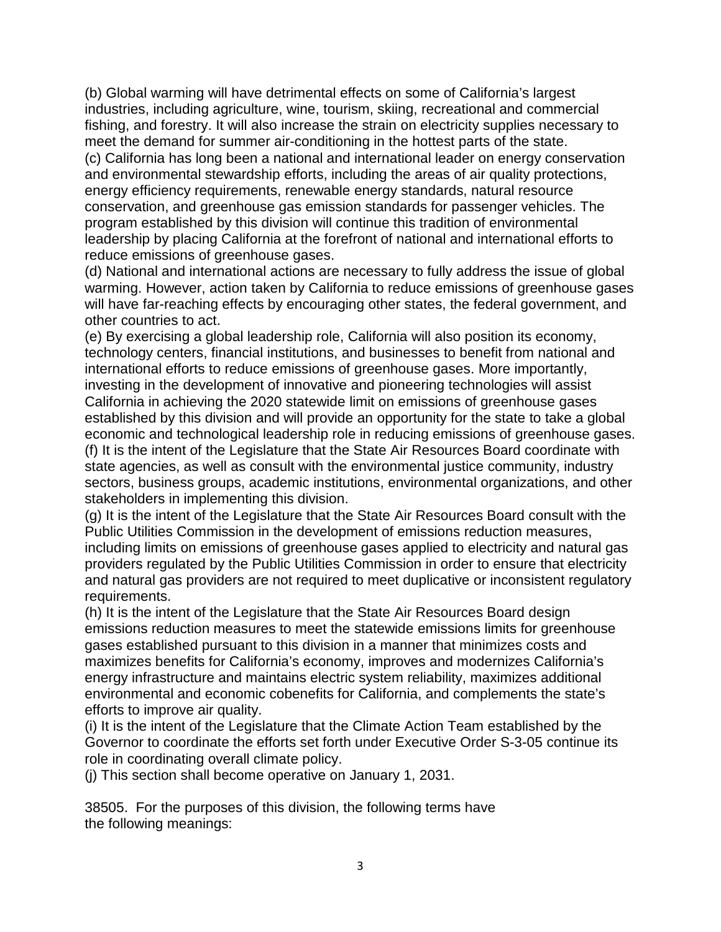(b) Global warming will have detrimental effects on some of California's largest industries, including agriculture, wine, tourism, skiing, recreational and commercial fishing, and forestry. It will also increase the strain on electricity supplies necessary to meet the demand for summer air-conditioning in the hottest parts of the state.

(c) California has long been a national and international leader on energy conservation and environmental stewardship efforts, including the areas of air quality protections, energy efficiency requirements, renewable energy standards, natural resource conservation, and greenhouse gas emission standards for passenger vehicles. The program established by this division will continue this tradition of environmental leadership by placing California at the forefront of national and international efforts to reduce emissions of greenhouse gases.

(d) National and international actions are necessary to fully address the issue of global warming. However, action taken by California to reduce emissions of greenhouse gases will have far-reaching effects by encouraging other states, the federal government, and other countries to act.

 (f) It is the intent of the Legislature that the State Air Resources Board coordinate with (e) By exercising a global leadership role, California will also position its economy, technology centers, financial institutions, and businesses to benefit from national and international efforts to reduce emissions of greenhouse gases. More importantly, investing in the development of innovative and pioneering technologies will assist California in achieving the 2020 statewide limit on emissions of greenhouse gases established by this division and will provide an opportunity for the state to take a global economic and technological leadership role in reducing emissions of greenhouse gases. state agencies, as well as consult with the environmental justice community, industry sectors, business groups, academic institutions, environmental organizations, and other stakeholders in implementing this division.

 providers regulated by the Public Utilities Commission in order to ensure that electricity (g) It is the intent of the Legislature that the State Air Resources Board consult with the Public Utilities Commission in the development of emissions reduction measures, including limits on emissions of greenhouse gases applied to electricity and natural gas and natural gas providers are not required to meet duplicative or inconsistent regulatory requirements.

 maximizes benefits for California's economy, improves and modernizes California's (h) It is the intent of the Legislature that the State Air Resources Board design emissions reduction measures to meet the statewide emissions limits for greenhouse gases established pursuant to this division in a manner that minimizes costs and energy infrastructure and maintains electric system reliability, maximizes additional environmental and economic cobenefits for California, and complements the state's efforts to improve air quality.

(i) It is the intent of the Legislature that the Climate Action Team established by the Governor to coordinate the efforts set forth under Executive Order S-3-05 continue its role in coordinating overall climate policy.

(j) This section shall become operative on January 1, 2031.

38505. For the purposes of this division, the following terms have the following meanings: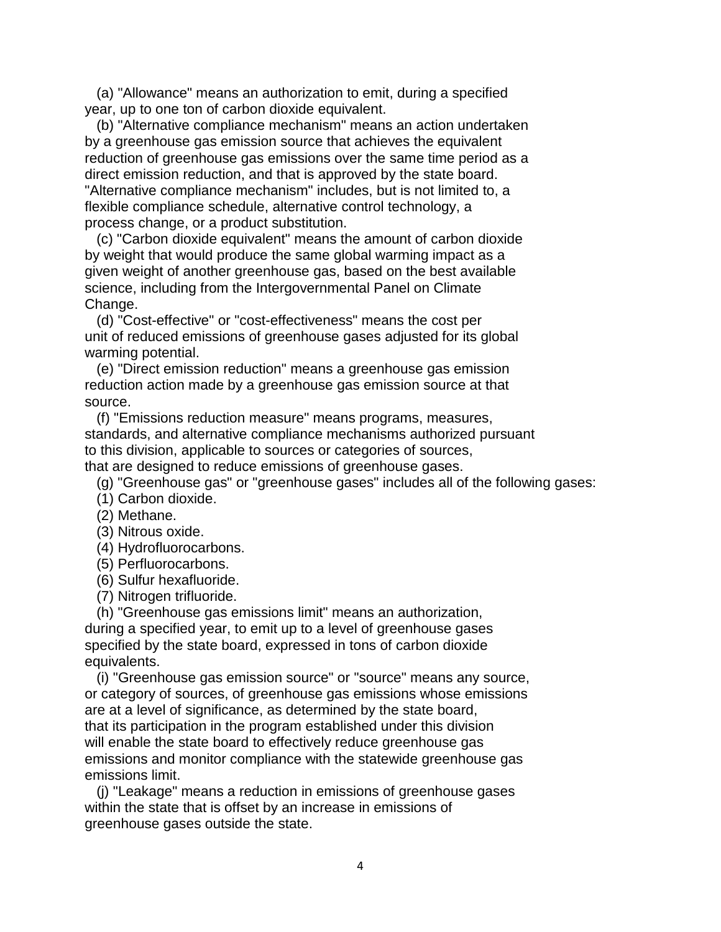(a) "Allowance" means an authorization to emit, during a specified year, up to one ton of carbon dioxide equivalent.

(b) "Alternative compliance mechanism" means an action undertaken by a greenhouse gas emission source that achieves the equivalent reduction of greenhouse gas emissions over the same time period as a direct emission reduction, and that is approved by the state board. "Alternative compliance mechanism" includes, but is not limited to, a flexible compliance schedule, alternative control technology, a process change, or a product substitution.

(c) "Carbon dioxide equivalent" means the amount of carbon dioxide by weight that would produce the same global warming impact as a given weight of another greenhouse gas, based on the best available science, including from the Intergovernmental Panel on Climate Change.

(d) "Cost-effective" or "cost-effectiveness" means the cost per unit of reduced emissions of greenhouse gases adjusted for its global warming potential.

(e) "Direct emission reduction" means a greenhouse gas emission reduction action made by a greenhouse gas emission source at that source.

(f) "Emissions reduction measure" means programs, measures, standards, and alternative compliance mechanisms authorized pursuant to this division, applicable to sources or categories of sources, that are designed to reduce emissions of greenhouse gases.

(g) "Greenhouse gas" or "greenhouse gases" includes all of the following gases:

(1) Carbon dioxide.

(2) Methane.

(3) Nitrous oxide.

- (4) Hydrofluorocarbons.
- (5) Perfluorocarbons.
- (6) Sulfur hexafluoride.
- (7) Nitrogen trifluoride.

(h) "Greenhouse gas emissions limit" means an authorization, during a specified year, to emit up to a level of greenhouse gases specified by the state board, expressed in tons of carbon dioxide equivalents.

(i) "Greenhouse gas emission source" or "source" means any source, or category of sources, of greenhouse gas emissions whose emissions are at a level of significance, as determined by the state board, that its participation in the program established under this division will enable the state board to effectively reduce greenhouse gas emissions and monitor compliance with the statewide greenhouse gas emissions limit.

(j) "Leakage" means a reduction in emissions of greenhouse gases within the state that is offset by an increase in emissions of greenhouse gases outside the state.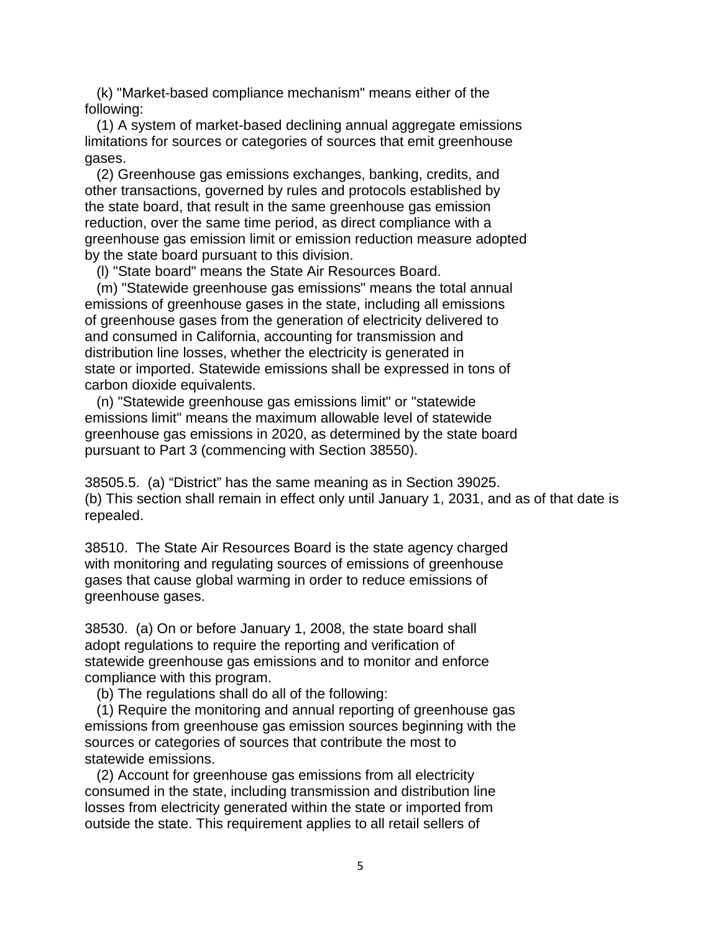(k) "Market-based compliance mechanism" means either of the following:

(1) A system of market-based declining annual aggregate emissions limitations for sources or categories of sources that emit greenhouse gases.

(2) Greenhouse gas emissions exchanges, banking, credits, and other transactions, governed by rules and protocols established by the state board, that result in the same greenhouse gas emission reduction, over the same time period, as direct compliance with a greenhouse gas emission limit or emission reduction measure adopted by the state board pursuant to this division.

(l) "State board" means the State Air Resources Board.

 of greenhouse gases from the generation of electricity delivered to (m) "Statewide greenhouse gas emissions" means the total annual emissions of greenhouse gases in the state, including all emissions and consumed in California, accounting for transmission and distribution line losses, whether the electricity is generated in state or imported. Statewide emissions shall be expressed in tons of carbon dioxide equivalents.

(n) "Statewide greenhouse gas emissions limit" or "statewide emissions limit" means the maximum allowable level of statewide greenhouse gas emissions in 2020, as determined by the state board pursuant to Part 3 (commencing with Section 38550).

 (b) This section shall remain in effect only until January 1, 2031, and as of that date is 38505.5. (a) "District" has the same meaning as in Section 39025. repealed.

38510. The State Air Resources Board is the state agency charged with monitoring and regulating sources of emissions of greenhouse gases that cause global warming in order to reduce emissions of greenhouse gases.

38530. (a) On or before January 1, 2008, the state board shall adopt regulations to require the reporting and verification of statewide greenhouse gas emissions and to monitor and enforce compliance with this program.

(b) The regulations shall do all of the following:

(1) Require the monitoring and annual reporting of greenhouse gas emissions from greenhouse gas emission sources beginning with the sources or categories of sources that contribute the most to statewide emissions.

(2) Account for greenhouse gas emissions from all electricity consumed in the state, including transmission and distribution line losses from electricity generated within the state or imported from outside the state. This requirement applies to all retail sellers of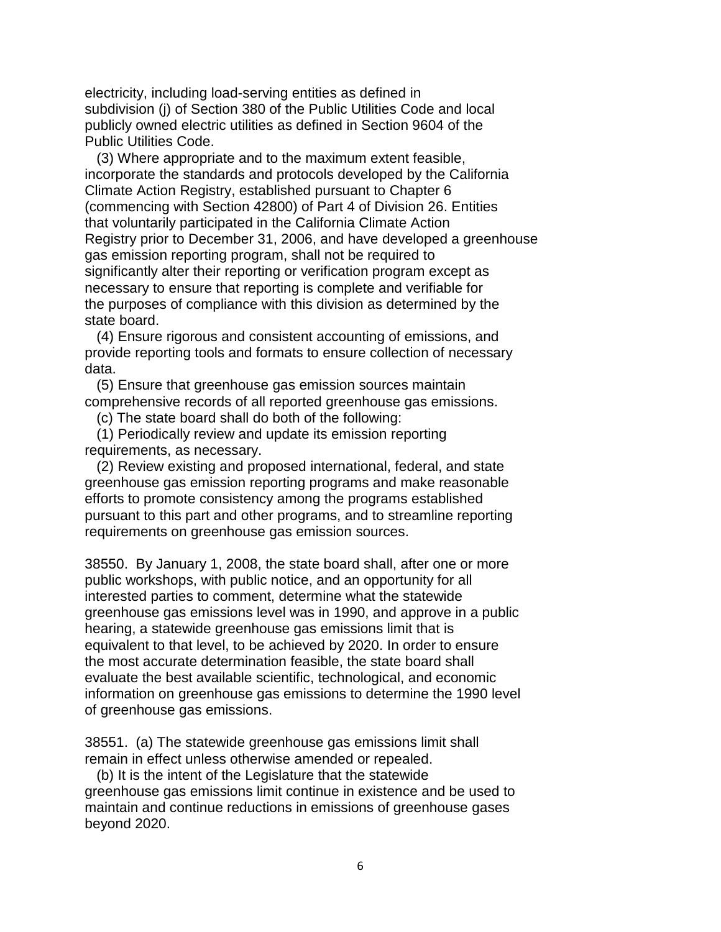electricity, including load-serving entities as defined in subdivision (j) of Section 380 of the Public Utilities Code and local publicly owned electric utilities as defined in Section 9604 of the Public Utilities Code.

(3) Where appropriate and to the maximum extent feasible, incorporate the standards and protocols developed by the California Climate Action Registry, established pursuant to Chapter 6 (commencing with Section 42800) of Part 4 of Division 26. Entities that voluntarily participated in the California Climate Action Registry prior to December 31, 2006, and have developed a greenhouse gas emission reporting program, shall not be required to significantly alter their reporting or verification program except as necessary to ensure that reporting is complete and verifiable for the purposes of compliance with this division as determined by the state board.

(4) Ensure rigorous and consistent accounting of emissions, and provide reporting tools and formats to ensure collection of necessary data.

(5) Ensure that greenhouse gas emission sources maintain comprehensive records of all reported greenhouse gas emissions.

(c) The state board shall do both of the following:

(1) Periodically review and update its emission reporting requirements, as necessary.

 pursuant to this part and other programs, and to streamline reporting (2) Review existing and proposed international, federal, and state greenhouse gas emission reporting programs and make reasonable efforts to promote consistency among the programs established requirements on greenhouse gas emission sources.

38550. By January 1, 2008, the state board shall, after one or more public workshops, with public notice, and an opportunity for all interested parties to comment, determine what the statewide greenhouse gas emissions level was in 1990, and approve in a public hearing, a statewide greenhouse gas emissions limit that is equivalent to that level, to be achieved by 2020. In order to ensure the most accurate determination feasible, the state board shall evaluate the best available scientific, technological, and economic information on greenhouse gas emissions to determine the 1990 level of greenhouse gas emissions.

38551. (a) The statewide greenhouse gas emissions limit shall remain in effect unless otherwise amended or repealed.

(b) It is the intent of the Legislature that the statewide greenhouse gas emissions limit continue in existence and be used to maintain and continue reductions in emissions of greenhouse gases beyond 2020.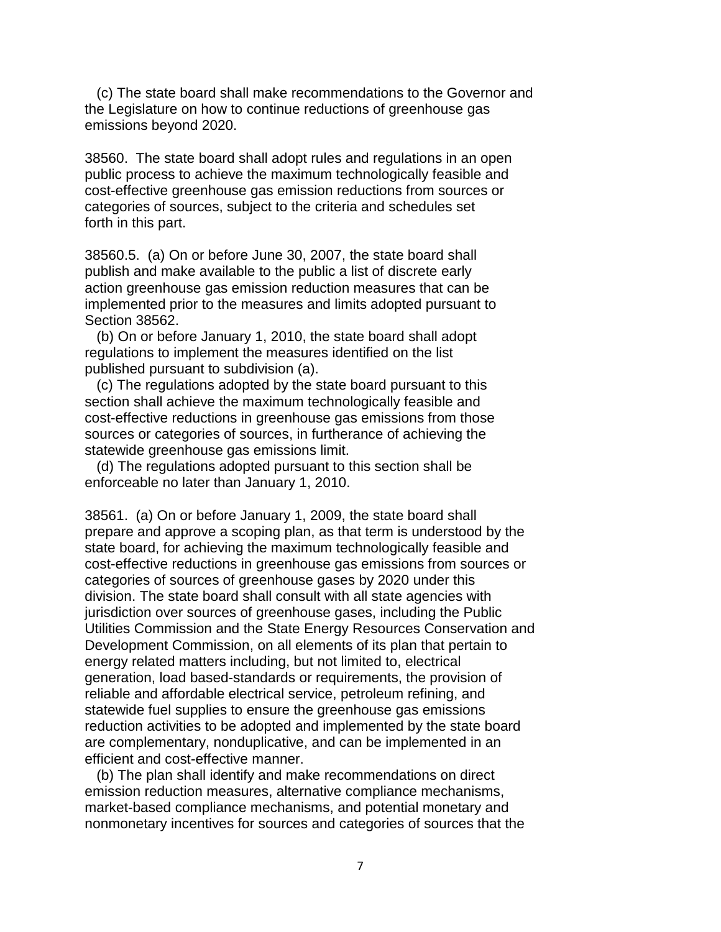(c) The state board shall make recommendations to the Governor and the Legislature on how to continue reductions of greenhouse gas emissions beyond 2020.

 categories of sources, subject to the criteria and schedules set 38560. The state board shall adopt rules and regulations in an open public process to achieve the maximum technologically feasible and cost-effective greenhouse gas emission reductions from sources or forth in this part.

38560.5. (a) On or before June 30, 2007, the state board shall publish and make available to the public a list of discrete early action greenhouse gas emission reduction measures that can be implemented prior to the measures and limits adopted pursuant to Section 38562.

(b) On or before January 1, 2010, the state board shall adopt regulations to implement the measures identified on the list published pursuant to subdivision (a).

 cost-effective reductions in greenhouse gas emissions from those (c) The regulations adopted by the state board pursuant to this section shall achieve the maximum technologically feasible and sources or categories of sources, in furtherance of achieving the statewide greenhouse gas emissions limit.

(d) The regulations adopted pursuant to this section shall be enforceable no later than January 1, 2010.

 state board, for achieving the maximum technologically feasible and cost-effective reductions in greenhouse gas emissions from sources or generation, load based-standards or requirements, the provision of 38561. (a) On or before January 1, 2009, the state board shall prepare and approve a scoping plan, as that term is understood by the categories of sources of greenhouse gases by 2020 under this division. The state board shall consult with all state agencies with jurisdiction over sources of greenhouse gases, including the Public Utilities Commission and the State Energy Resources Conservation and Development Commission, on all elements of its plan that pertain to energy related matters including, but not limited to, electrical reliable and affordable electrical service, petroleum refining, and statewide fuel supplies to ensure the greenhouse gas emissions reduction activities to be adopted and implemented by the state board are complementary, nonduplicative, and can be implemented in an efficient and cost-effective manner.

(b) The plan shall identify and make recommendations on direct emission reduction measures, alternative compliance mechanisms, market-based compliance mechanisms, and potential monetary and nonmonetary incentives for sources and categories of sources that the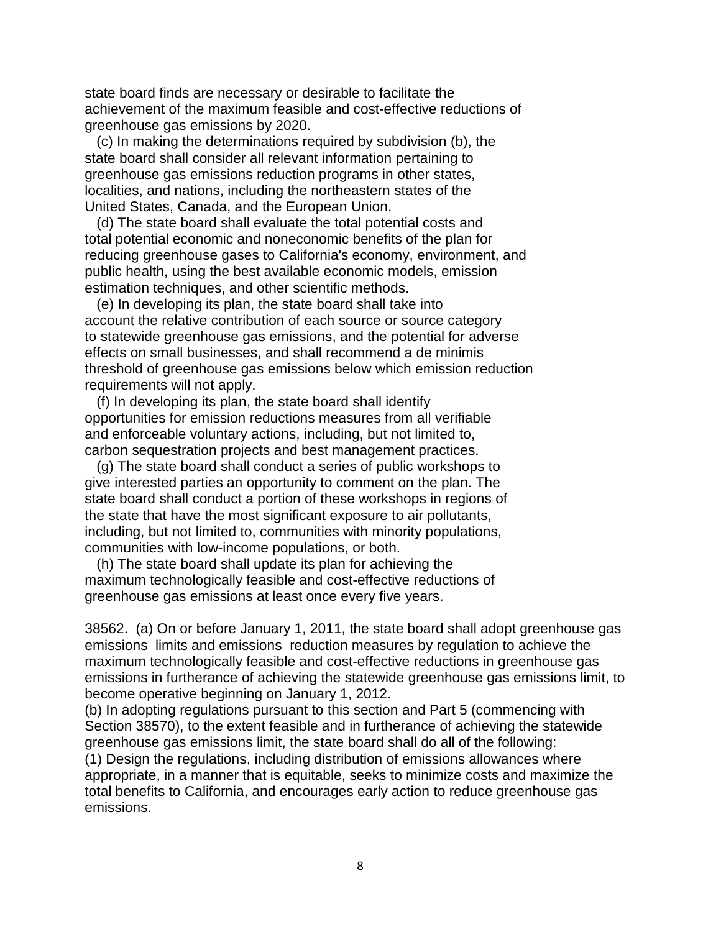state board finds are necessary or desirable to facilitate the achievement of the maximum feasible and cost-effective reductions of greenhouse gas emissions by 2020.

(c) In making the determinations required by subdivision (b), the state board shall consider all relevant information pertaining to greenhouse gas emissions reduction programs in other states, localities, and nations, including the northeastern states of the United States, Canada, and the European Union.

 total potential economic and noneconomic benefits of the plan for public health, using the best available economic models, emission (d) The state board shall evaluate the total potential costs and reducing greenhouse gases to California's economy, environment, and estimation techniques, and other scientific methods.

(e) In developing its plan, the state board shall take into account the relative contribution of each source or source category to statewide greenhouse gas emissions, and the potential for adverse effects on small businesses, and shall recommend a de minimis threshold of greenhouse gas emissions below which emission reduction requirements will not apply.

 and enforceable voluntary actions, including, but not limited to, (f) In developing its plan, the state board shall identify opportunities for emission reductions measures from all verifiable carbon sequestration projects and best management practices.

(g) The state board shall conduct a series of public workshops to give interested parties an opportunity to comment on the plan. The state board shall conduct a portion of these workshops in regions of the state that have the most significant exposure to air pollutants, including, but not limited to, communities with minority populations, communities with low-income populations, or both.

 greenhouse gas emissions at least once every five years. (h) The state board shall update its plan for achieving the maximum technologically feasible and cost-effective reductions of

 38562. (a) On or before January 1, 2011, the state board shall adopt greenhouse gas emissions limits and emissions reduction measures by regulation to achieve the maximum technologically feasible and cost-effective reductions in greenhouse gas emissions in furtherance of achieving the statewide greenhouse gas emissions limit, to become operative beginning on January 1, 2012.

 Section 38570), to the extent feasible and in furtherance of achieving the statewide (b) In adopting regulations pursuant to this section and Part 5 (commencing with greenhouse gas emissions limit, the state board shall do all of the following:

(1) Design the regulations, including distribution of emissions allowances where appropriate, in a manner that is equitable, seeks to minimize costs and maximize the total benefits to California, and encourages early action to reduce greenhouse gas emissions.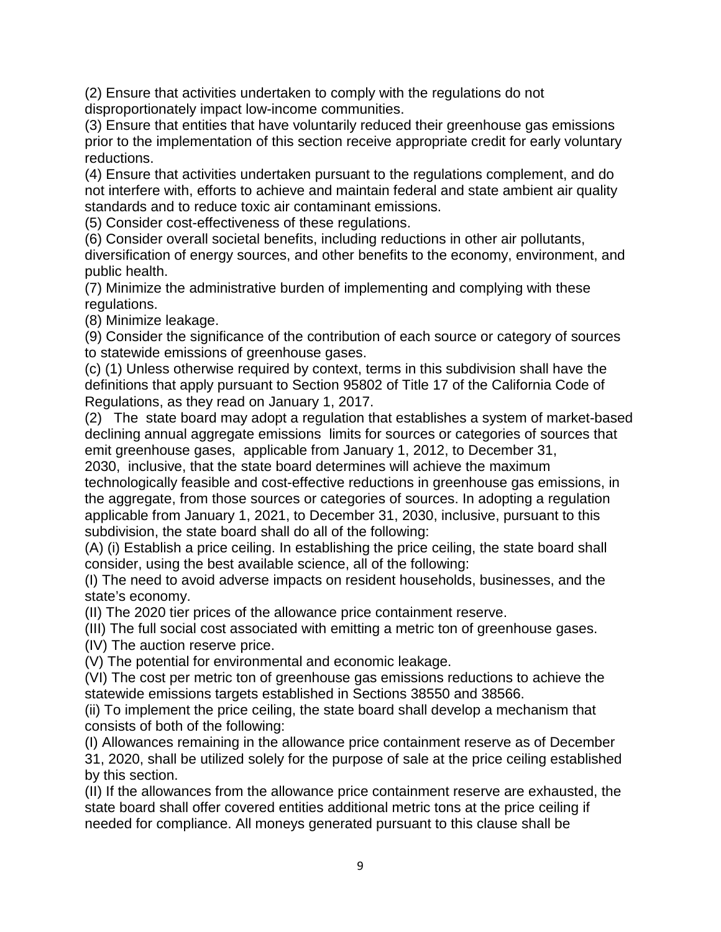(2) Ensure that activities undertaken to comply with the regulations do not disproportionately impact low-income communities.

(3) Ensure that entities that have voluntarily reduced their greenhouse gas emissions prior to the implementation of this section receive appropriate credit for early voluntary reductions.

(4) Ensure that activities undertaken pursuant to the regulations complement, and do not interfere with, efforts to achieve and maintain federal and state ambient air quality standards and to reduce toxic air contaminant emissions.

(5) Consider cost-effectiveness of these regulations.

(6) Consider overall societal benefits, including reductions in other air pollutants, diversification of energy sources, and other benefits to the economy, environment, and public health.

(7) Minimize the administrative burden of implementing and complying with these regulations.

(8) Minimize leakage.

(9) Consider the significance of the contribution of each source or category of sources to statewide emissions of greenhouse gases.

 (c) (1) Unless otherwise required by context, terms in this subdivision shall have the definitions that apply pursuant to Section 95802 of Title 17 of the California Code of Regulations, as they read on January 1, 2017.

 (2) The state board may adopt a regulation that establishes a system of market-based declining annual aggregate emissions limits for sources or categories of sources that emit greenhouse gases, applicable from January 1, 2012, to December 31,

 2030, inclusive, that the state board determines will achieve the maximum subdivision, the state board shall do all of the following: technologically feasible and cost-effective reductions in greenhouse gas emissions, in the aggregate, from those sources or categories of sources. In adopting a regulation applicable from January 1, 2021, to December 31, 2030, inclusive, pursuant to this

subdivision, the state board shall do all of the following:<br>(A) (i) Establish a price ceiling. In establishing the price ceiling, the state board shall consider, using the best available science, all of the following:

(I) The need to avoid adverse impacts on resident households, businesses, and the state's economy.

(II) The 2020 tier prices of the allowance price containment reserve.

(III) The full social cost associated with emitting a metric ton of greenhouse gases.

(IV) The auction reserve price.

(V) The potential for environmental and economic leakage.

(VI) The cost per metric ton of greenhouse gas emissions reductions to achieve the statewide emissions targets established in Sections 38550 and 38566.

(ii) To implement the price ceiling, the state board shall develop a mechanism that consists of both of the following:

(I) Allowances remaining in the allowance price containment reserve as of December 31, 2020, shall be utilized solely for the purpose of sale at the price ceiling established by this section.

 (II) If the allowances from the allowance price containment reserve are exhausted, the state board shall offer covered entities additional metric tons at the price ceiling if needed for compliance. All moneys generated pursuant to this clause shall be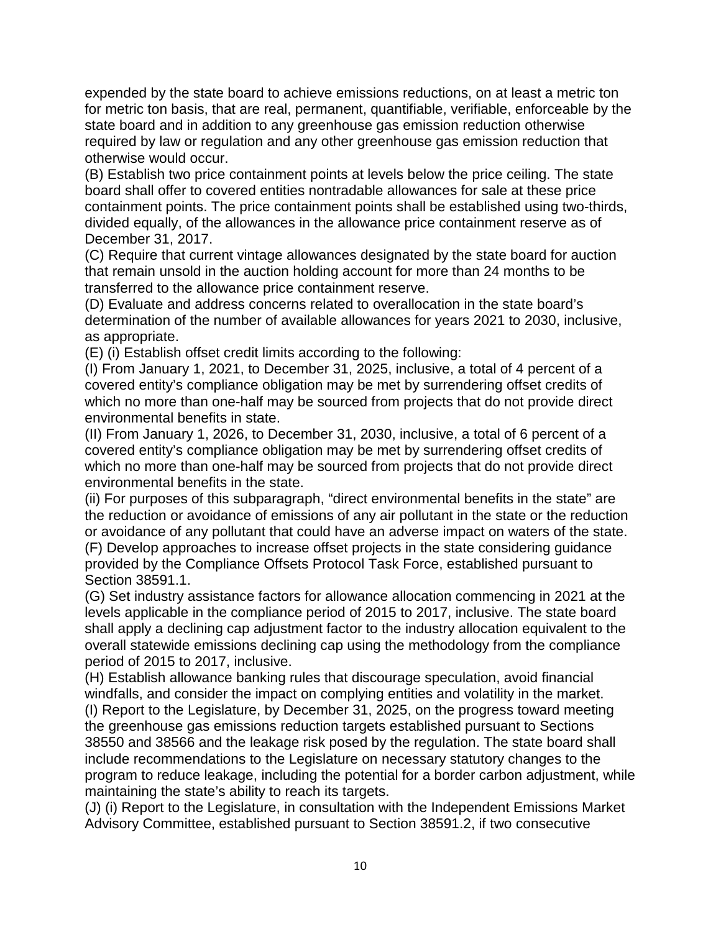expended by the state board to achieve emissions reductions, on at least a metric ton for metric ton basis, that are real, permanent, quantifiable, verifiable, enforceable by the state board and in addition to any greenhouse gas emission reduction otherwise required by law or regulation and any other greenhouse gas emission reduction that otherwise would occur.

 containment points. The price containment points shall be established using two-thirds, (B) Establish two price containment points at levels below the price ceiling. The state board shall offer to covered entities nontradable allowances for sale at these price divided equally, of the allowances in the allowance price containment reserve as of December 31, 2017.

 that remain unsold in the auction holding account for more than 24 months to be (C) Require that current vintage allowances designated by the state board for auction transferred to the allowance price containment reserve.

(D) Evaluate and address concerns related to overallocation in the state board's determination of the number of available allowances for years 2021 to 2030, inclusive, as appropriate.

(E) (i) Establish offset credit limits according to the following:

 (I) From January 1, 2021, to December 31, 2025, inclusive, a total of 4 percent of a covered entity's compliance obligation may be met by surrendering offset credits of which no more than one-half may be sourced from projects that do not provide direct environmental benefits in state.

 (II) From January 1, 2026, to December 31, 2030, inclusive, a total of 6 percent of a covered entity's compliance obligation may be met by surrendering offset credits of which no more than one-half may be sourced from projects that do not provide direct environmental benefits in the state.

 the reduction or avoidance of emissions of any air pollutant in the state or the reduction (ii) For purposes of this subparagraph, "direct environmental benefits in the state" are or avoidance of any pollutant that could have an adverse impact on waters of the state. (F) Develop approaches to increase offset projects in the state considering guidance provided by the Compliance Offsets Protocol Task Force, established pursuant to Section 38591.1.

(G) Set industry assistance factors for allowance allocation commencing in 2021 at the levels applicable in the compliance period of 2015 to 2017, inclusive. The state board shall apply a declining cap adjustment factor to the industry allocation equivalent to the overall statewide emissions declining cap using the methodology from the compliance period of 2015 to 2017, inclusive.

(H) Establish allowance banking rules that discourage speculation, avoid financial windfalls, and consider the impact on complying entities and volatility in the market. (I) Report to the Legislature, by December 31, 2025, on the progress toward meeting the greenhouse gas emissions reduction targets established pursuant to Sections 38550 and 38566 and the leakage risk posed by the regulation. The state board shall include recommendations to the Legislature on necessary statutory changes to the program to reduce leakage, including the potential for a border carbon adjustment, while maintaining the state's ability to reach its targets.

 (J) (i) Report to the Legislature, in consultation with the Independent Emissions Market Advisory Committee, established pursuant to Section 38591.2, if two consecutive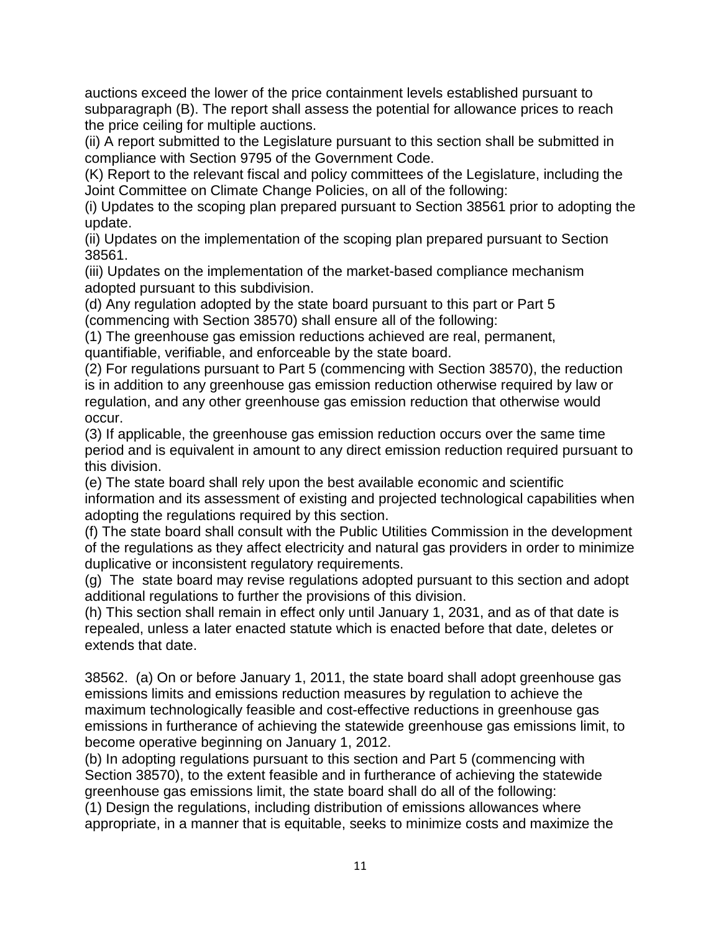subparagraph (B). The report shall assess the potential for allowance prices to reach auctions exceed the lower of the price containment levels established pursuant to the price ceiling for multiple auctions.

(ii) A report submitted to the Legislature pursuant to this section shall be submitted in compliance with Section 9795 of the Government Code.

(K) Report to the relevant fiscal and policy committees of the Legislature, including the Joint Committee on Climate Change Policies, on all of the following:

(i) Updates to the scoping plan prepared pursuant to Section 38561 prior to adopting the update.

(ii) Updates on the implementation of the scoping plan prepared pursuant to Section 38561.

(iii) Updates on the implementation of the market-based compliance mechanism adopted pursuant to this subdivision.

(d) Any regulation adopted by the state board pursuant to this part or Part 5 (commencing with Section 38570) shall ensure all of the following:

(1) The greenhouse gas emission reductions achieved are real, permanent, quantifiable, verifiable, and enforceable by the state board.

(2) For regulations pursuant to Part 5 (commencing with Section 38570), the reduction is in addition to any greenhouse gas emission reduction otherwise required by law or regulation, and any other greenhouse gas emission reduction that otherwise would occur.

(3) If applicable, the greenhouse gas emission reduction occurs over the same time period and is equivalent in amount to any direct emission reduction required pursuant to this division.

 (e) The state board shall rely upon the best available economic and scientific information and its assessment of existing and projected technological capabilities when adopting the regulations required by this section.

(f) The state board shall consult with the Public Utilities Commission in the development of the regulations as they affect electricity and natural gas providers in order to minimize duplicative or inconsistent regulatory requirements.

 (g) The state board may revise regulations adopted pursuant to this section and adopt additional regulations to further the provisions of this division.

 (h) This section shall remain in effect only until January 1, 2031, and as of that date is repealed, unless a later enacted statute which is enacted before that date, deletes or extends that date.

 38562. (a) On or before January 1, 2011, the state board shall adopt greenhouse gas emissions limits and emissions reduction measures by regulation to achieve the maximum technologically feasible and cost-effective reductions in greenhouse gas emissions in furtherance of achieving the statewide greenhouse gas emissions limit, to become operative beginning on January 1, 2012.

 Section 38570), to the extent feasible and in furtherance of achieving the statewide (b) In adopting regulations pursuant to this section and Part 5 (commencing with greenhouse gas emissions limit, the state board shall do all of the following: (1) Design the regulations, including distribution of emissions allowances where

appropriate, in a manner that is equitable, seeks to minimize costs and maximize the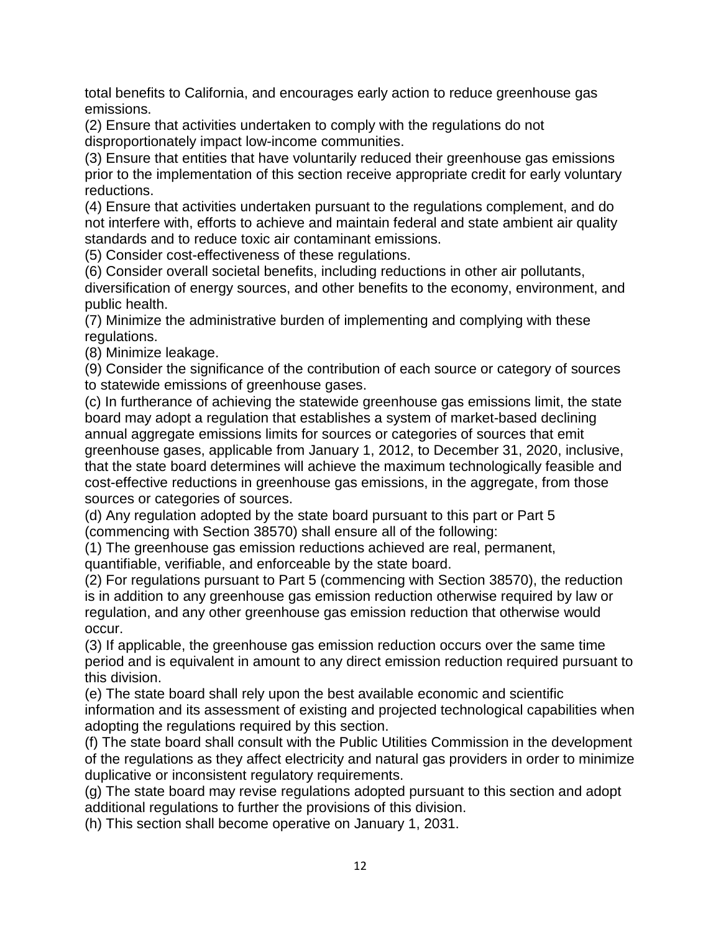total benefits to California, and encourages early action to reduce greenhouse gas emissions.

(2) Ensure that activities undertaken to comply with the regulations do not disproportionately impact low-income communities.

(3) Ensure that entities that have voluntarily reduced their greenhouse gas emissions prior to the implementation of this section receive appropriate credit for early voluntary reductions.

(4) Ensure that activities undertaken pursuant to the regulations complement, and do not interfere with, efforts to achieve and maintain federal and state ambient air quality standards and to reduce toxic air contaminant emissions.

(5) Consider cost-effectiveness of these regulations.

(6) Consider overall societal benefits, including reductions in other air pollutants, diversification of energy sources, and other benefits to the economy, environment, and public health.

(7) Minimize the administrative burden of implementing and complying with these regulations.

(8) Minimize leakage.

(9) Consider the significance of the contribution of each source or category of sources to statewide emissions of greenhouse gases.

 board may adopt a regulation that establishes a system of market-based declining cost-effective reductions in greenhouse gas emissions, in the aggregate, from those (c) In furtherance of achieving the statewide greenhouse gas emissions limit, the state annual aggregate emissions limits for sources or categories of sources that emit greenhouse gases, applicable from January 1, 2012, to December 31, 2020, inclusive, that the state board determines will achieve the maximum technologically feasible and sources or categories of sources.

(d) Any regulation adopted by the state board pursuant to this part or Part 5 (commencing with Section 38570) shall ensure all of the following:

(1) The greenhouse gas emission reductions achieved are real, permanent, quantifiable, verifiable, and enforceable by the state board.

(2) For regulations pursuant to Part 5 (commencing with Section 38570), the reduction is in addition to any greenhouse gas emission reduction otherwise required by law or regulation, and any other greenhouse gas emission reduction that otherwise would occur.

(3) If applicable, the greenhouse gas emission reduction occurs over the same time period and is equivalent in amount to any direct emission reduction required pursuant to this division.

 (e) The state board shall rely upon the best available economic and scientific information and its assessment of existing and projected technological capabilities when adopting the regulations required by this section.

(f) The state board shall consult with the Public Utilities Commission in the development of the regulations as they affect electricity and natural gas providers in order to minimize duplicative or inconsistent regulatory requirements.

 (g) The state board may revise regulations adopted pursuant to this section and adopt additional regulations to further the provisions of this division.

(h) This section shall become operative on January 1, 2031.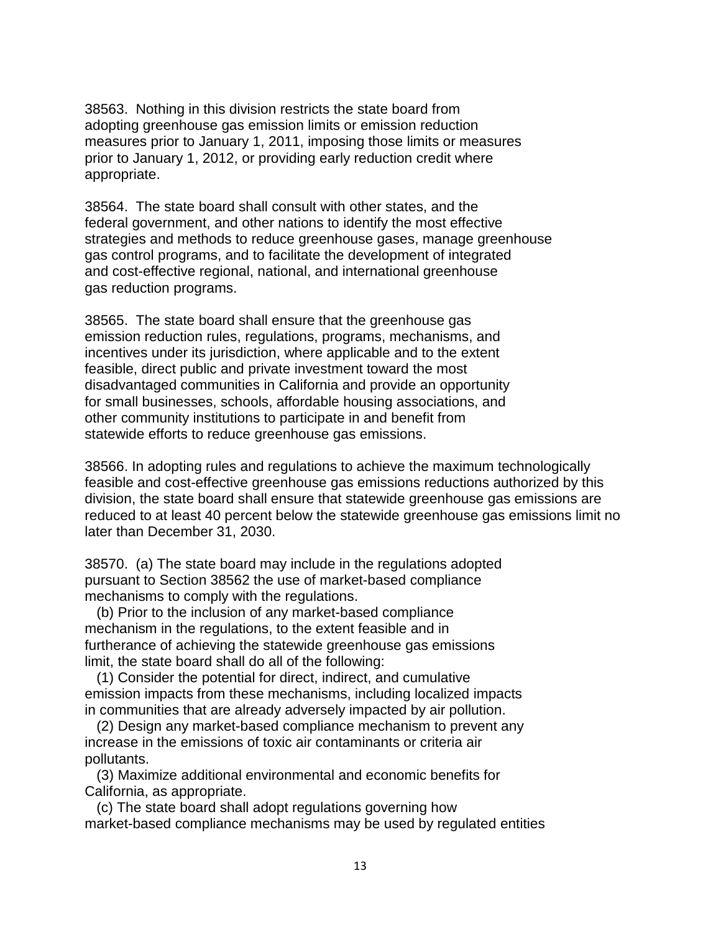38563. Nothing in this division restricts the state board from adopting greenhouse gas emission limits or emission reduction measures prior to January 1, 2011, imposing those limits or measures prior to January 1, 2012, or providing early reduction credit where appropriate.

 and cost-effective regional, national, and international greenhouse 38564. The state board shall consult with other states, and the federal government, and other nations to identify the most effective strategies and methods to reduce greenhouse gases, manage greenhouse gas control programs, and to facilitate the development of integrated gas reduction programs.

 other community institutions to participate in and benefit from 38565. The state board shall ensure that the greenhouse gas emission reduction rules, regulations, programs, mechanisms, and incentives under its jurisdiction, where applicable and to the extent feasible, direct public and private investment toward the most disadvantaged communities in California and provide an opportunity for small businesses, schools, affordable housing associations, and statewide efforts to reduce greenhouse gas emissions.

38566. In adopting rules and regulations to achieve the maximum technologically feasible and cost-effective greenhouse gas emissions reductions authorized by this division, the state board shall ensure that statewide greenhouse gas emissions are reduced to at least 40 percent below the statewide greenhouse gas emissions limit no later than December 31, 2030.

38570. (a) The state board may include in the regulations adopted pursuant to Section 38562 the use of market-based compliance mechanisms to comply with the regulations.

 limit, the state board shall do all of the following: (b) Prior to the inclusion of any market-based compliance mechanism in the regulations, to the extent feasible and in furtherance of achieving the statewide greenhouse gas emissions

 emission impacts from these mechanisms, including localized impacts (1) Consider the potential for direct, indirect, and cumulative in communities that are already adversely impacted by air pollution.

(2) Design any market-based compliance mechanism to prevent any increase in the emissions of toxic air contaminants or criteria air pollutants.

(3) Maximize additional environmental and economic benefits for California, as appropriate.

(c) The state board shall adopt regulations governing how market-based compliance mechanisms may be used by regulated entities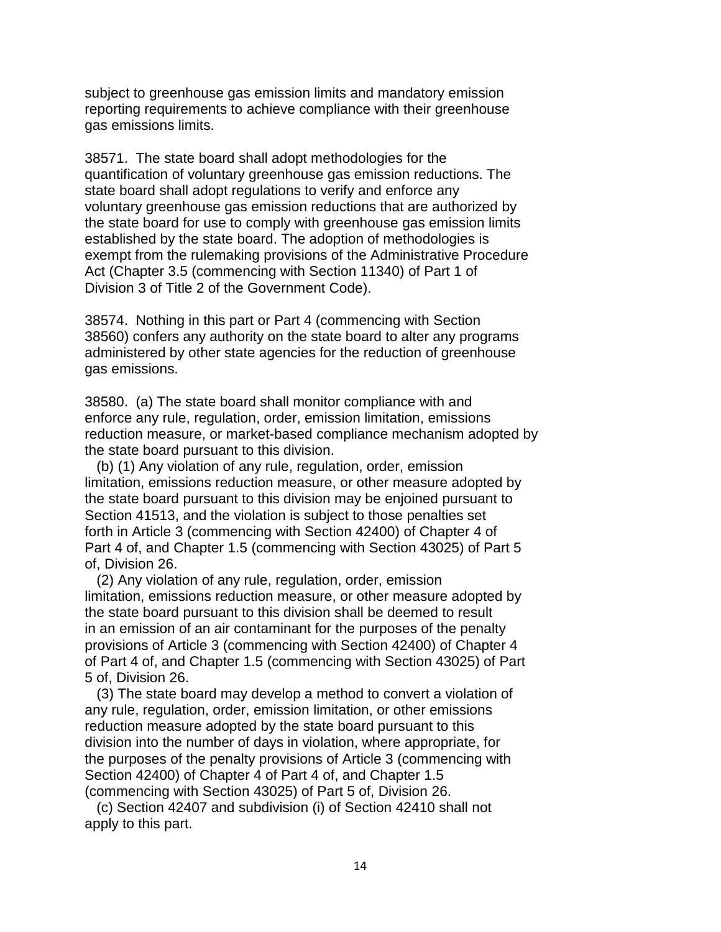subject to greenhouse gas emission limits and mandatory emission reporting requirements to achieve compliance with their greenhouse gas emissions limits.

 38571. The state board shall adopt methodologies for the exempt from the rulemaking provisions of the Administrative Procedure quantification of voluntary greenhouse gas emission reductions. The state board shall adopt regulations to verify and enforce any voluntary greenhouse gas emission reductions that are authorized by the state board for use to comply with greenhouse gas emission limits established by the state board. The adoption of methodologies is Act (Chapter 3.5 (commencing with Section 11340) of Part 1 of Division 3 of Title 2 of the Government Code).

 administered by other state agencies for the reduction of greenhouse 38574. Nothing in this part or Part 4 (commencing with Section 38560) confers any authority on the state board to alter any programs gas emissions.

38580. (a) The state board shall monitor compliance with and enforce any rule, regulation, order, emission limitation, emissions reduction measure, or market-based compliance mechanism adopted by the state board pursuant to this division.

 Part 4 of, and Chapter 1.5 (commencing with Section 43025) of Part 5 (b) (1) Any violation of any rule, regulation, order, emission limitation, emissions reduction measure, or other measure adopted by the state board pursuant to this division may be enjoined pursuant to Section 41513, and the violation is subject to those penalties set forth in Article 3 (commencing with Section 42400) of Chapter 4 of of, Division 26.

(2) Any violation of any rule, regulation, order, emission limitation, emissions reduction measure, or other measure adopted by the state board pursuant to this division shall be deemed to result in an emission of an air contaminant for the purposes of the penalty provisions of Article 3 (commencing with Section 42400) of Chapter 4 of Part 4 of, and Chapter 1.5 (commencing with Section 43025) of Part 5 of, Division 26.

(3) The state board may develop a method to convert a violation of any rule, regulation, order, emission limitation, or other emissions reduction measure adopted by the state board pursuant to this division into the number of days in violation, where appropriate, for the purposes of the penalty provisions of Article 3 (commencing with Section 42400) of Chapter 4 of Part 4 of, and Chapter 1.5 (commencing with Section 43025) of Part 5 of, Division 26.

(c) Section 42407 and subdivision (i) of Section 42410 shall not apply to this part.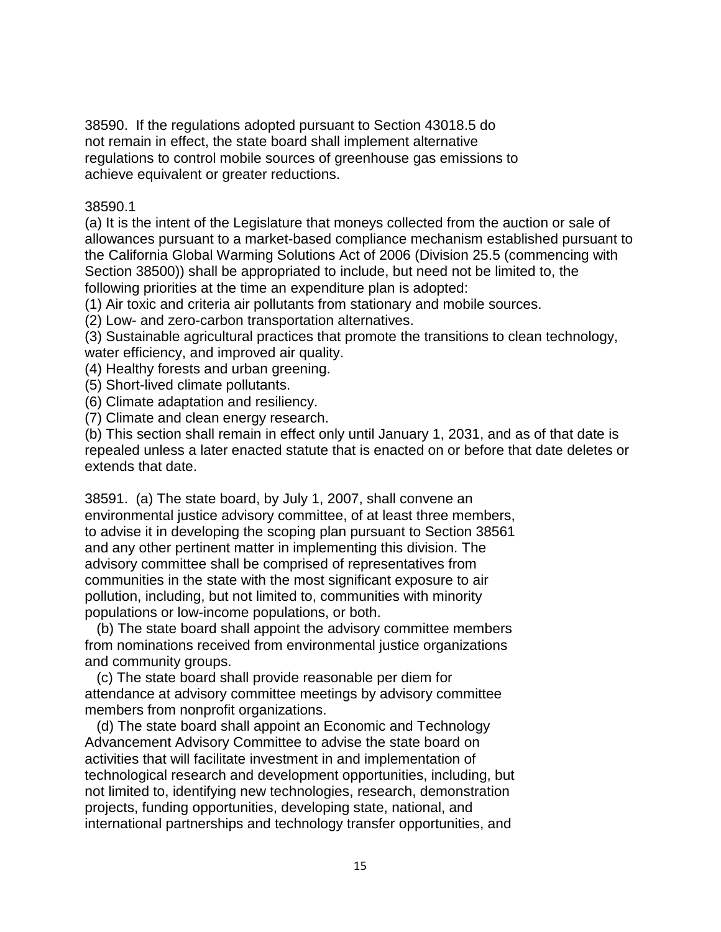38590. If the regulations adopted pursuant to Section 43018.5 do not remain in effect, the state board shall implement alternative regulations to control mobile sources of greenhouse gas emissions to achieve equivalent or greater reductions.

#### 38590.1

 Section 38500)) shall be appropriated to include, but need not be limited to, the (a) It is the intent of the Legislature that moneys collected from the auction or sale of allowances pursuant to a market-based compliance mechanism established pursuant to the California Global Warming Solutions Act of 2006 (Division 25.5 (commencing with following priorities at the time an expenditure plan is adopted:

(1) Air toxic and criteria air pollutants from stationary and mobile sources.

(2) Low- and zero-carbon transportation alternatives.

(3) Sustainable agricultural practices that promote the transitions to clean technology, water efficiency, and improved air quality.

(4) Healthy forests and urban greening.

(5) Short-lived climate pollutants.

(6) Climate adaptation and resiliency.

(7) Climate and clean energy research.

 (b) This section shall remain in effect only until January 1, 2031, and as of that date is repealed unless a later enacted statute that is enacted on or before that date deletes or extends that date.

38591. (a) The state board, by July 1, 2007, shall convene an environmental justice advisory committee, of at least three members, to advise it in developing the scoping plan pursuant to Section 38561 and any other pertinent matter in implementing this division. The advisory committee shall be comprised of representatives from communities in the state with the most significant exposure to air pollution, including, but not limited to, communities with minority populations or low-income populations, or both.

(b) The state board shall appoint the advisory committee members from nominations received from environmental justice organizations and community groups.

(c) The state board shall provide reasonable per diem for attendance at advisory committee meetings by advisory committee members from nonprofit organizations.

 technological research and development opportunities, including, but (d) The state board shall appoint an Economic and Technology Advancement Advisory Committee to advise the state board on activities that will facilitate investment in and implementation of not limited to, identifying new technologies, research, demonstration projects, funding opportunities, developing state, national, and international partnerships and technology transfer opportunities, and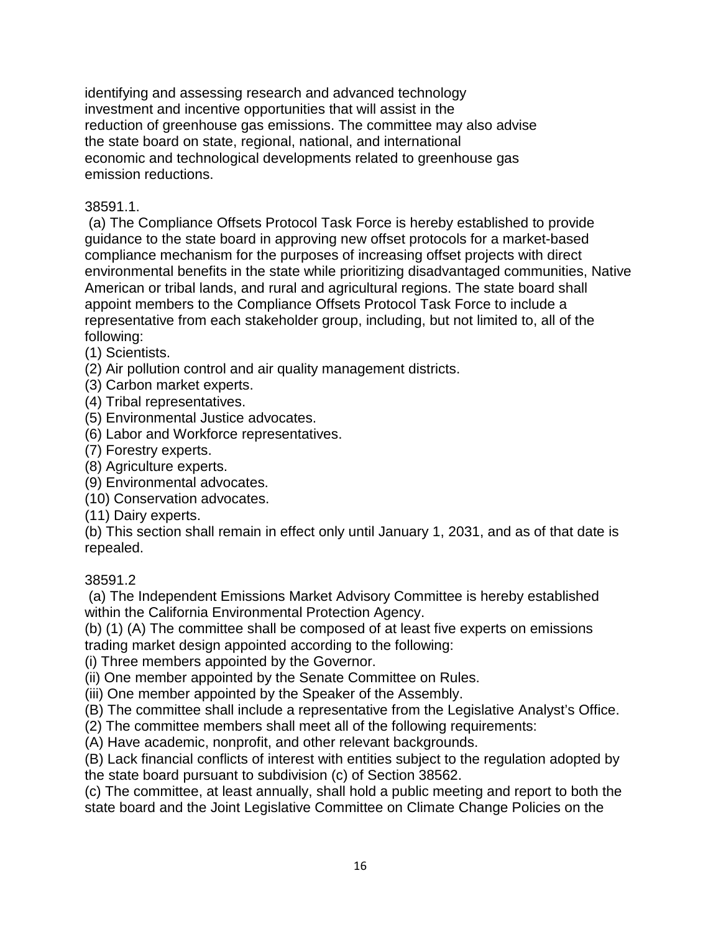identifying and assessing research and advanced technology investment and incentive opportunities that will assist in the reduction of greenhouse gas emissions. The committee may also advise the state board on state, regional, national, and international economic and technological developments related to greenhouse gas emission reductions.

### 38591.1.

 (a) The Compliance Offsets Protocol Task Force is hereby established to provide compliance mechanism for the purposes of increasing offset projects with direct guidance to the state board in approving new offset protocols for a market-based environmental benefits in the state while prioritizing disadvantaged communities, Native American or tribal lands, and rural and agricultural regions. The state board shall appoint members to the Compliance Offsets Protocol Task Force to include a representative from each stakeholder group, including, but not limited to, all of the following:

(1) Scientists.

- (2) Air pollution control and air quality management districts.
- (3) Carbon market experts.
- (4) Tribal representatives.
- (5) Environmental Justice advocates.
- (6) Labor and Workforce representatives.
- (7) Forestry experts.
- (8) Agriculture experts.
- (9) Environmental advocates.
- (10) Conservation advocates.
- (11) Dairy experts.

 (b) This section shall remain in effect only until January 1, 2031, and as of that date is repealed.

#### 38591.2

 (a) The Independent Emissions Market Advisory Committee is hereby established within the California Environmental Protection Agency.

 (b) (1) (A) The committee shall be composed of at least five experts on emissions trading market design appointed according to the following:

(i) Three members appointed by the Governor.

(ii) One member appointed by the Senate Committee on Rules.

(iii) One member appointed by the Speaker of the Assembly.

(B) The committee shall include a representative from the Legislative Analyst's Office.

(2) The committee members shall meet all of the following requirements:

(A) Have academic, nonprofit, and other relevant backgrounds.

(B) Lack financial conflicts of interest with entities subject to the regulation adopted by the state board pursuant to subdivision (c) of Section 38562.

(c) The committee, at least annually, shall hold a public meeting and report to both the state board and the Joint Legislative Committee on Climate Change Policies on the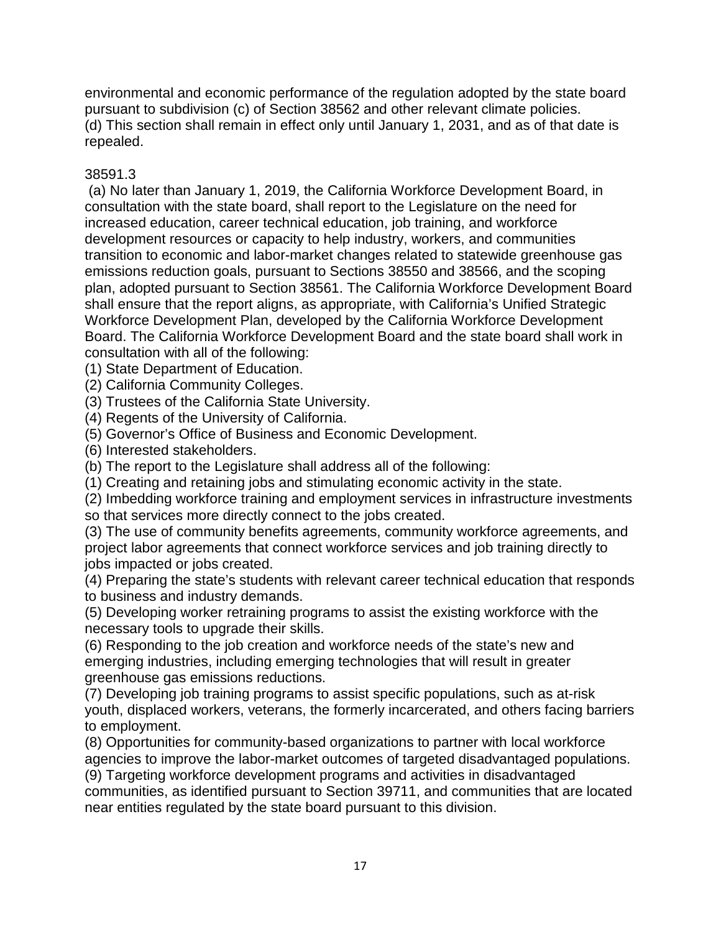(d) This section shall remain in effect only until January 1, 2031, and as of that date is environmental and economic performance of the regulation adopted by the state board pursuant to subdivision (c) of Section 38562 and other relevant climate policies. repealed.

## 38591.3

 (a) No later than January 1, 2019, the California Workforce Development Board, in consultation with the state board, shall report to the Legislature on the need for increased education, career technical education, job training, and workforce development resources or capacity to help industry, workers, and communities transition to economic and labor-market changes related to statewide greenhouse gas emissions reduction goals, pursuant to Sections 38550 and 38566, and the scoping plan, adopted pursuant to Section 38561. The California Workforce Development Board shall ensure that the report aligns, as appropriate, with California's Unified Strategic Workforce Development Plan, developed by the California Workforce Development Board. The California Workforce Development Board and the state board shall work in consultation with all of the following:

- (1) State Department of Education.
- (2) California Community Colleges.
- (3) Trustees of the California State University.
- (4) Regents of the University of California.
- (5) Governor's Office of Business and Economic Development.
- (6) Interested stakeholders.
- (b) The report to the Legislature shall address all of the following:
- (1) Creating and retaining jobs and stimulating economic activity in the state.

(2) Imbedding workforce training and employment services in infrastructure investments so that services more directly connect to the jobs created.

(3) The use of community benefits agreements, community workforce agreements, and project labor agreements that connect workforce services and job training directly to jobs impacted or jobs created.

(4) Preparing the state's students with relevant career technical education that responds to business and industry demands.

(5) Developing worker retraining programs to assist the existing workforce with the necessary tools to upgrade their skills.

(6) Responding to the job creation and workforce needs of the state's new and emerging industries, including emerging technologies that will result in greater greenhouse gas emissions reductions.

(7) Developing job training programs to assist specific populations, such as at-risk youth, displaced workers, veterans, the formerly incarcerated, and others facing barriers to employment.

 agencies to improve the labor-market outcomes of targeted disadvantaged populations. (8) Opportunities for community-based organizations to partner with local workforce

(9) Targeting workforce development programs and activities in disadvantaged communities, as identified pursuant to Section 39711, and communities that are located near entities regulated by the state board pursuant to this division.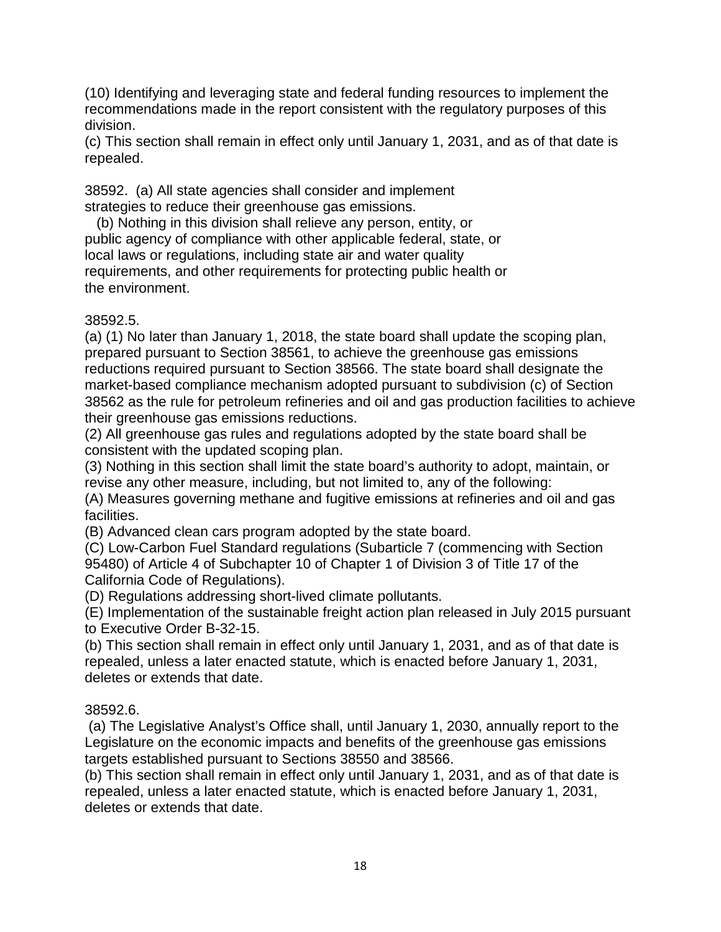(10) Identifying and leveraging state and federal funding resources to implement the recommendations made in the report consistent with the regulatory purposes of this division.

 (c) This section shall remain in effect only until January 1, 2031, and as of that date is repealed.

38592. (a) All state agencies shall consider and implement strategies to reduce their greenhouse gas emissions.

 requirements, and other requirements for protecting public health or (b) Nothing in this division shall relieve any person, entity, or public agency of compliance with other applicable federal, state, or local laws or regulations, including state air and water quality the environment.

## 38592.5.

 (a) (1) No later than January 1, 2018, the state board shall update the scoping plan, prepared pursuant to Section 38561, to achieve the greenhouse gas emissions reductions required pursuant to Section 38566. The state board shall designate the market-based compliance mechanism adopted pursuant to subdivision (c) of Section 38562 as the rule for petroleum refineries and oil and gas production facilities to achieve their greenhouse gas emissions reductions.

(2) All greenhouse gas rules and regulations adopted by the state board shall be consistent with the updated scoping plan.

 (3) Nothing in this section shall limit the state board's authority to adopt, maintain, or revise any other measure, including, but not limited to, any of the following:

(A) Measures governing methane and fugitive emissions at refineries and oil and gas facilities.

(B) Advanced clean cars program adopted by the state board.

 95480) of Article 4 of Subchapter 10 of Chapter 1 of Division 3 of Title 17 of the (C) Low-Carbon Fuel Standard regulations (Subarticle 7 (commencing with Section California Code of Regulations).

(D) Regulations addressing short-lived climate pollutants.

(E) Implementation of the sustainable freight action plan released in July 2015 pursuant to Executive Order B-32-15.

 (b) This section shall remain in effect only until January 1, 2031, and as of that date is repealed, unless a later enacted statute, which is enacted before January 1, 2031, deletes or extends that date.

## 38592.6.

 (a) The Legislative Analyst's Office shall, until January 1, 2030, annually report to the targets established pursuant to Sections 38550 and 38566. Legislature on the economic impacts and benefits of the greenhouse gas emissions

 (b) This section shall remain in effect only until January 1, 2031, and as of that date is repealed, unless a later enacted statute, which is enacted before January 1, 2031, deletes or extends that date.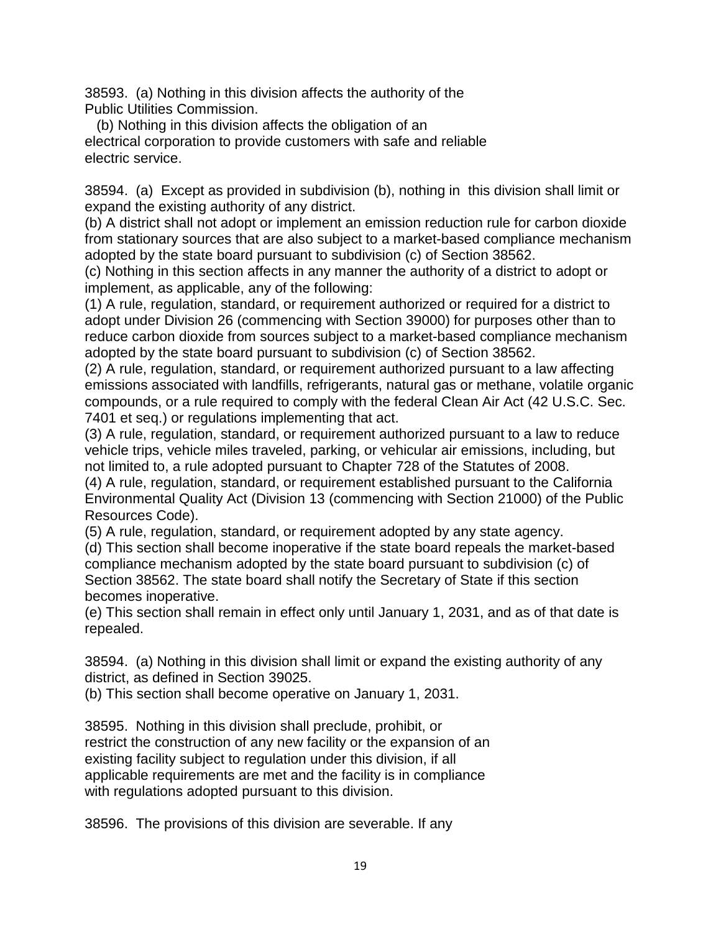38593. (a) Nothing in this division affects the authority of the Public Utilities Commission.

(b) Nothing in this division affects the obligation of an electrical corporation to provide customers with safe and reliable electric service.

 38594. (a) Except as provided in subdivision (b), nothing in this division shall limit or expand the existing authority of any district.

(b) A district shall not adopt or implement an emission reduction rule for carbon dioxide from stationary sources that are also subject to a market-based compliance mechanism adopted by the state board pursuant to subdivision (c) of Section 38562.

 implement, as applicable, any of the following: (c) Nothing in this section affects in any manner the authority of a district to adopt or

(1) A rule, regulation, standard, or requirement authorized or required for a district to adopt under Division 26 (commencing with Section 39000) for purposes other than to reduce carbon dioxide from sources subject to a market-based compliance mechanism adopted by the state board pursuant to subdivision (c) of Section 38562.

(2) A rule, regulation, standard, or requirement authorized pursuant to a law affecting emissions associated with landfills, refrigerants, natural gas or methane, volatile organic compounds, or a rule required to comply with the federal Clean Air Act (42 U.S.C. Sec. 7401 et seq.) or regulations implementing that act.

(3) A rule, regulation, standard, or requirement authorized pursuant to a law to reduce vehicle trips, vehicle miles traveled, parking, or vehicular air emissions, including, but not limited to, a rule adopted pursuant to Chapter 728 of the Statutes of 2008.

(4) A rule, regulation, standard, or requirement established pursuant to the California Environmental Quality Act (Division 13 (commencing with Section 21000) of the Public Resources Code).

(5) A rule, regulation, standard, or requirement adopted by any state agency.

(d) This section shall become inoperative if the state board repeals the market-based compliance mechanism adopted by the state board pursuant to subdivision (c) of Section 38562. The state board shall notify the Secretary of State if this section becomes inoperative.

 (e) This section shall remain in effect only until January 1, 2031, and as of that date is repealed.

 38594. (a) Nothing in this division shall limit or expand the existing authority of any district, as defined in Section 39025.

(b) This section shall become operative on January 1, 2031.

38595. Nothing in this division shall preclude, prohibit, or restrict the construction of any new facility or the expansion of an existing facility subject to regulation under this division, if all applicable requirements are met and the facility is in compliance with regulations adopted pursuant to this division.

38596. The provisions of this division are severable. If any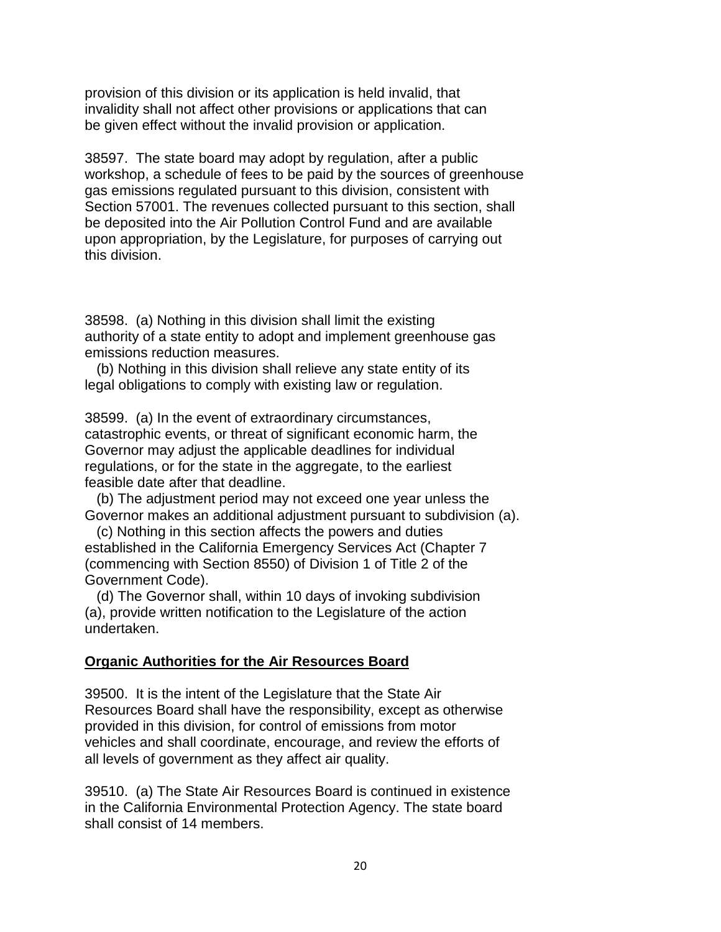invalidity shall not affect other provisions or applications that can provision of this division or its application is held invalid, that be given effect without the invalid provision or application.

38597. The state board may adopt by regulation, after a public workshop, a schedule of fees to be paid by the sources of greenhouse gas emissions regulated pursuant to this division, consistent with Section 57001. The revenues collected pursuant to this section, shall be deposited into the Air Pollution Control Fund and are available upon appropriation, by the Legislature, for purposes of carrying out this division.

38598. (a) Nothing in this division shall limit the existing authority of a state entity to adopt and implement greenhouse gas emissions reduction measures.

(b) Nothing in this division shall relieve any state entity of its legal obligations to comply with existing law or regulation.

38599. (a) In the event of extraordinary circumstances, catastrophic events, or threat of significant economic harm, the Governor may adjust the applicable deadlines for individual regulations, or for the state in the aggregate, to the earliest feasible date after that deadline.

 Governor makes an additional adjustment pursuant to subdivision (a). (b) The adjustment period may not exceed one year unless the

(c) Nothing in this section affects the powers and duties established in the California Emergency Services Act (Chapter 7 (commencing with Section 8550) of Division 1 of Title 2 of the Government Code).

(d) The Governor shall, within 10 days of invoking subdivision (a), provide written notification to the Legislature of the action undertaken.

#### **Organic Authorities for the Air Resources Board**

39500. It is the intent of the Legislature that the State Air Resources Board shall have the responsibility, except as otherwise provided in this division, for control of emissions from motor vehicles and shall coordinate, encourage, and review the efforts of all levels of government as they affect air quality.

39510. (a) The State Air Resources Board is continued in existence in the California Environmental Protection Agency. The state board shall consist of 14 members.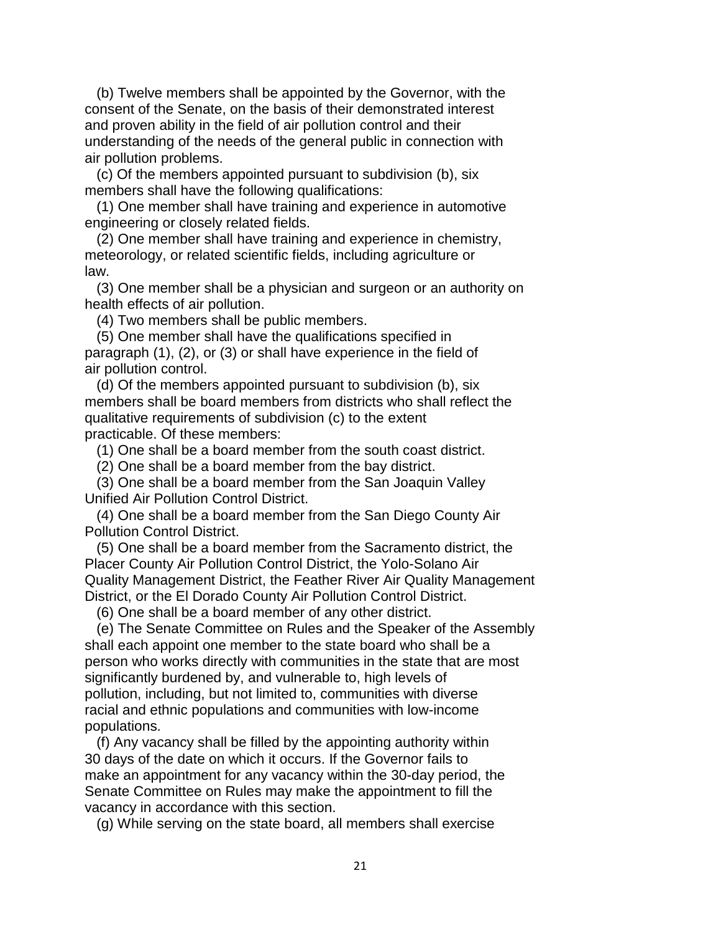(b) Twelve members shall be appointed by the Governor, with the consent of the Senate, on the basis of their demonstrated interest and proven ability in the field of air pollution control and their understanding of the needs of the general public in connection with air pollution problems.

(c) Of the members appointed pursuant to subdivision (b), six members shall have the following qualifications:

(1) One member shall have training and experience in automotive engineering or closely related fields.

(2) One member shall have training and experience in chemistry, meteorology, or related scientific fields, including agriculture or law.

(3) One member shall be a physician and surgeon or an authority on health effects of air pollution.

(4) Two members shall be public members.

(5) One member shall have the qualifications specified in paragraph (1), (2), or (3) or shall have experience in the field of air pollution control.

 members shall be board members from districts who shall reflect the (d) Of the members appointed pursuant to subdivision (b), six qualitative requirements of subdivision (c) to the extent practicable. Of these members:

(1) One shall be a board member from the south coast district.

(2) One shall be a board member from the bay district.

(3) One shall be a board member from the San Joaquin Valley Unified Air Pollution Control District.

(4) One shall be a board member from the San Diego County Air Pollution Control District.

(5) One shall be a board member from the Sacramento district, the Placer County Air Pollution Control District, the Yolo-Solano Air Quality Management District, the Feather River Air Quality Management District, or the El Dorado County Air Pollution Control District.

(6) One shall be a board member of any other district.

(e) The Senate Committee on Rules and the Speaker of the Assembly shall each appoint one member to the state board who shall be a person who works directly with communities in the state that are most significantly burdened by, and vulnerable to, high levels of pollution, including, but not limited to, communities with diverse racial and ethnic populations and communities with low-income populations.

(f) Any vacancy shall be filled by the appointing authority within 30 days of the date on which it occurs. If the Governor fails to make an appointment for any vacancy within the 30-day period, the Senate Committee on Rules may make the appointment to fill the vacancy in accordance with this section.

(g) While serving on the state board, all members shall exercise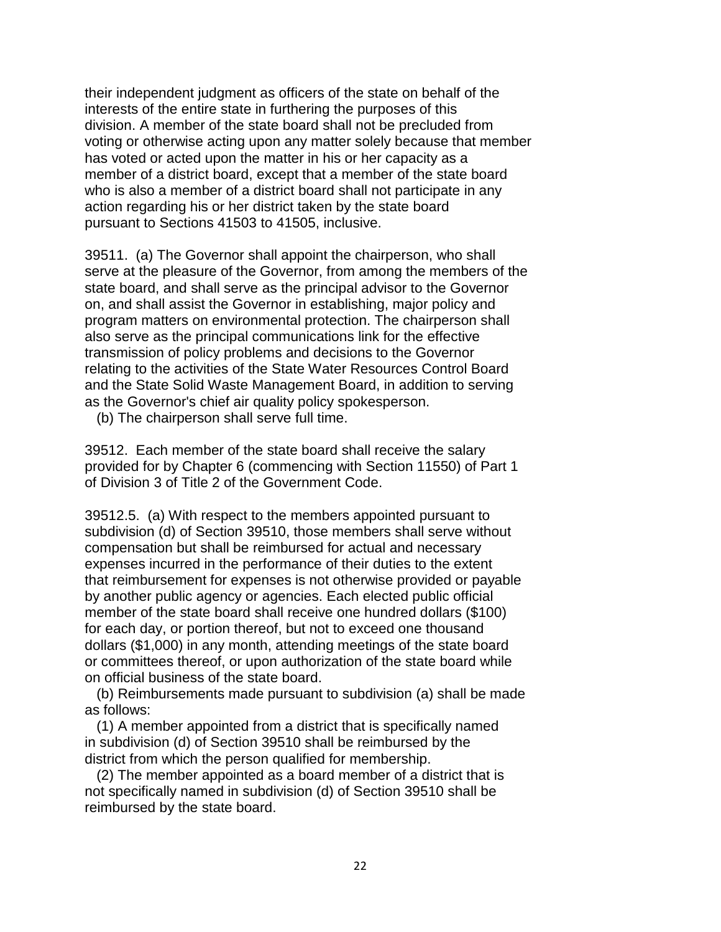their independent judgment as officers of the state on behalf of the action regarding his or her district taken by the state board interests of the entire state in furthering the purposes of this division. A member of the state board shall not be precluded from voting or otherwise acting upon any matter solely because that member has voted or acted upon the matter in his or her capacity as a member of a district board, except that a member of the state board who is also a member of a district board shall not participate in any pursuant to Sections 41503 to 41505, inclusive.

 39511. (a) The Governor shall appoint the chairperson, who shall serve at the pleasure of the Governor, from among the members of the state board, and shall serve as the principal advisor to the Governor on, and shall assist the Governor in establishing, major policy and program matters on environmental protection. The chairperson shall also serve as the principal communications link for the effective transmission of policy problems and decisions to the Governor relating to the activities of the State Water Resources Control Board and the State Solid Waste Management Board, in addition to serving as the Governor's chief air quality policy spokesperson.

(b) The chairperson shall serve full time.

 provided for by Chapter 6 (commencing with Section 11550) of Part 1 39512. Each member of the state board shall receive the salary of Division 3 of Title 2 of the Government Code.

 dollars (\$1,000) in any month, attending meetings of the state board 39512.5. (a) With respect to the members appointed pursuant to subdivision (d) of Section 39510, those members shall serve without compensation but shall be reimbursed for actual and necessary expenses incurred in the performance of their duties to the extent that reimbursement for expenses is not otherwise provided or payable by another public agency or agencies. Each elected public official member of the state board shall receive one hundred dollars (\$100) for each day, or portion thereof, but not to exceed one thousand or committees thereof, or upon authorization of the state board while on official business of the state board.

(b) Reimbursements made pursuant to subdivision (a) shall be made as follows:

(1) A member appointed from a district that is specifically named in subdivision (d) of Section 39510 shall be reimbursed by the district from which the person qualified for membership.

(2) The member appointed as a board member of a district that is not specifically named in subdivision (d) of Section 39510 shall be reimbursed by the state board.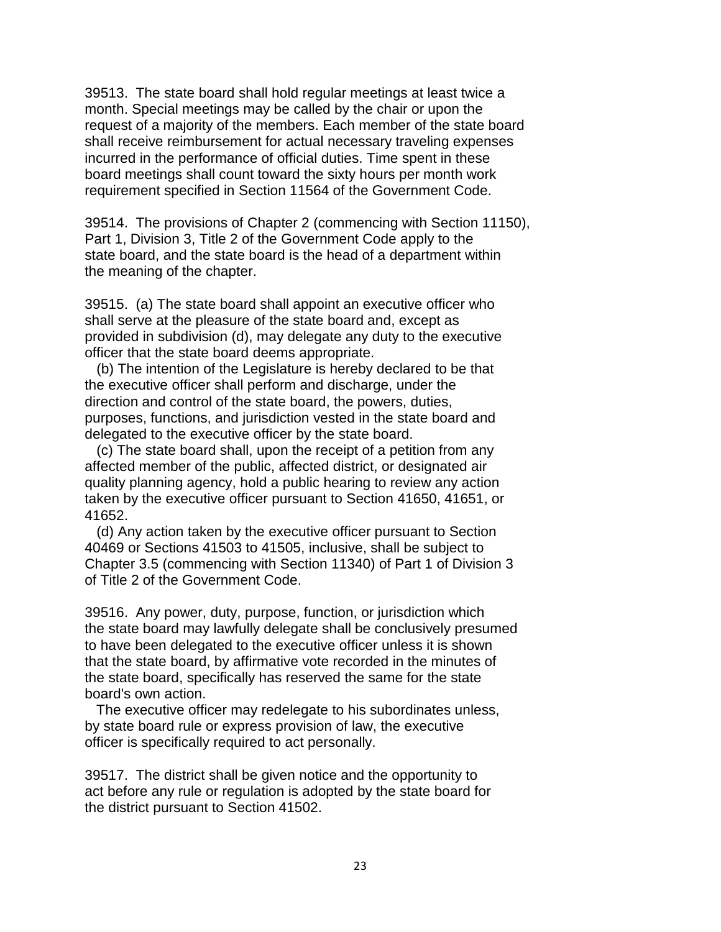39513. The state board shall hold regular meetings at least twice a month. Special meetings may be called by the chair or upon the request of a majority of the members. Each member of the state board shall receive reimbursement for actual necessary traveling expenses incurred in the performance of official duties. Time spent in these board meetings shall count toward the sixty hours per month work requirement specified in Section 11564 of the Government Code.

39514. The provisions of Chapter 2 (commencing with Section 11150), Part 1, Division 3, Title 2 of the Government Code apply to the state board, and the state board is the head of a department within the meaning of the chapter.

39515. (a) The state board shall appoint an executive officer who shall serve at the pleasure of the state board and, except as provided in subdivision (d), may delegate any duty to the executive officer that the state board deems appropriate.

 purposes, functions, and jurisdiction vested in the state board and (b) The intention of the Legislature is hereby declared to be that the executive officer shall perform and discharge, under the direction and control of the state board, the powers, duties, delegated to the executive officer by the state board.

(c) The state board shall, upon the receipt of a petition from any affected member of the public, affected district, or designated air quality planning agency, hold a public hearing to review any action taken by the executive officer pursuant to Section 41650, 41651, or 41652.

 of Title 2 of the Government Code. (d) Any action taken by the executive officer pursuant to Section 40469 or Sections 41503 to 41505, inclusive, shall be subject to Chapter 3.5 (commencing with Section 11340) of Part 1 of Division 3

39516. Any power, duty, purpose, function, or jurisdiction which the state board may lawfully delegate shall be conclusively presumed to have been delegated to the executive officer unless it is shown that the state board, by affirmative vote recorded in the minutes of the state board, specifically has reserved the same for the state board's own action.

The executive officer may redelegate to his subordinates unless, by state board rule or express provision of law, the executive officer is specifically required to act personally.

39517. The district shall be given notice and the opportunity to act before any rule or regulation is adopted by the state board for the district pursuant to Section 41502.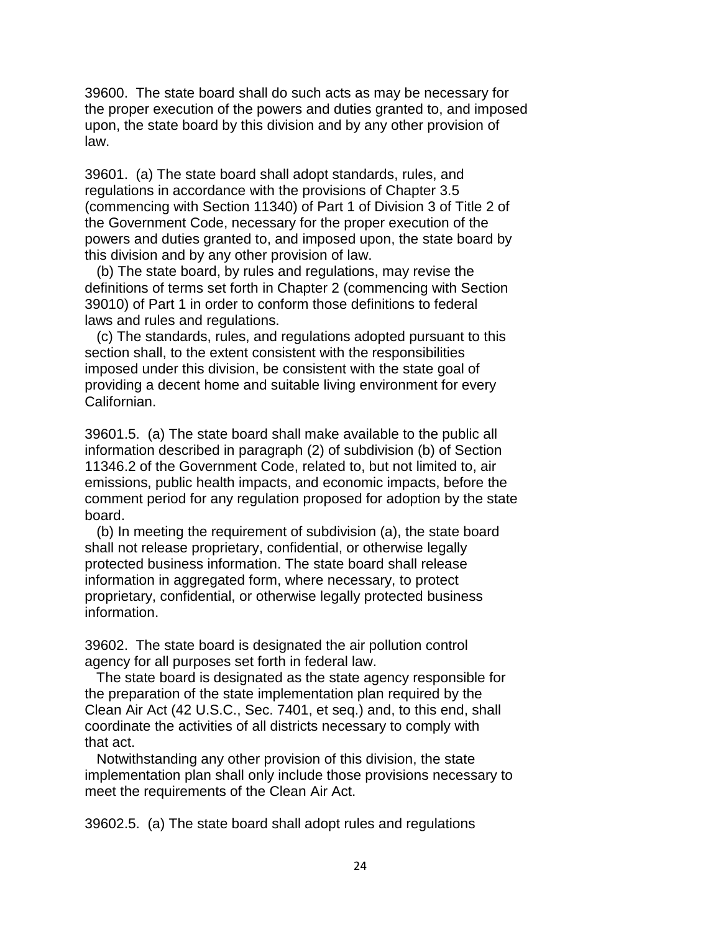the proper execution of the powers and duties granted to, and imposed 39600. The state board shall do such acts as may be necessary for upon, the state board by this division and by any other provision of law.

39601. (a) The state board shall adopt standards, rules, and regulations in accordance with the provisions of Chapter 3.5 (commencing with Section 11340) of Part 1 of Division 3 of Title 2 of the Government Code, necessary for the proper execution of the powers and duties granted to, and imposed upon, the state board by this division and by any other provision of law.

(b) The state board, by rules and regulations, may revise the definitions of terms set forth in Chapter 2 (commencing with Section 39010) of Part 1 in order to conform those definitions to federal laws and rules and regulations.

 providing a decent home and suitable living environment for every (c) The standards, rules, and regulations adopted pursuant to this section shall, to the extent consistent with the responsibilities imposed under this division, be consistent with the state goal of Californian.

 39601.5. (a) The state board shall make available to the public all 11346.2 of the Government Code, related to, but not limited to, air information described in paragraph (2) of subdivision (b) of Section emissions, public health impacts, and economic impacts, before the comment period for any regulation proposed for adoption by the state board.

(b) In meeting the requirement of subdivision (a), the state board shall not release proprietary, confidential, or otherwise legally protected business information. The state board shall release information in aggregated form, where necessary, to protect proprietary, confidential, or otherwise legally protected business information.

39602. The state board is designated the air pollution control agency for all purposes set forth in federal law.

The state board is designated as the state agency responsible for the preparation of the state implementation plan required by the Clean Air Act (42 U.S.C., Sec. 7401, et seq.) and, to this end, shall coordinate the activities of all districts necessary to comply with that act.

Notwithstanding any other provision of this division, the state implementation plan shall only include those provisions necessary to meet the requirements of the Clean Air Act.

39602.5. (a) The state board shall adopt rules and regulations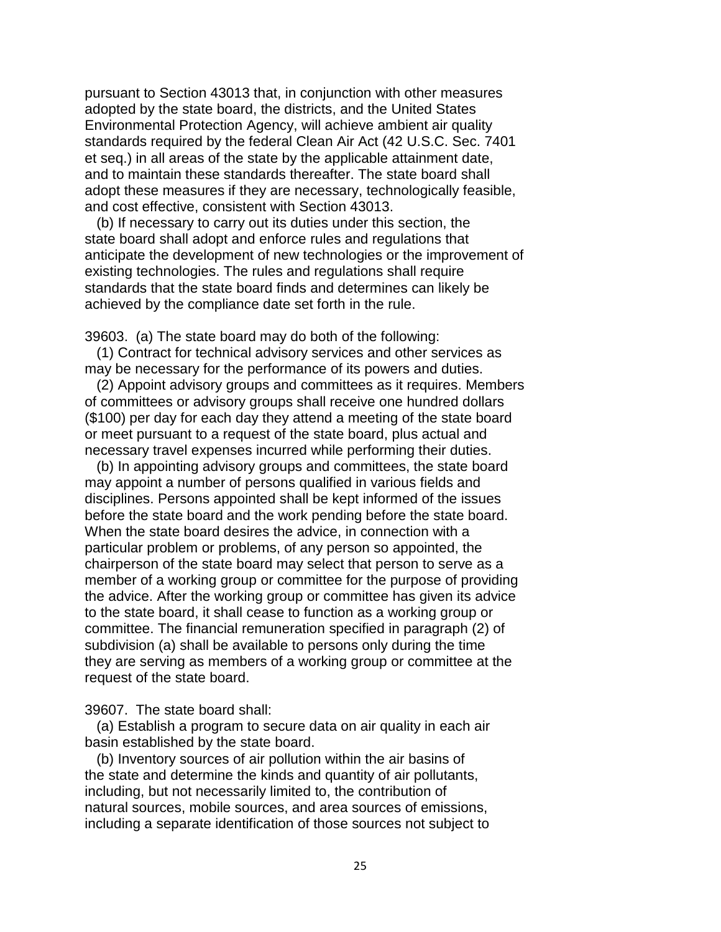et seq.) in all areas of the state by the applicable attainment date, pursuant to Section 43013 that, in conjunction with other measures adopted by the state board, the districts, and the United States Environmental Protection Agency, will achieve ambient air quality standards required by the federal Clean Air Act (42 U.S.C. Sec. 7401 and to maintain these standards thereafter. The state board shall adopt these measures if they are necessary, technologically feasible, and cost effective, consistent with Section 43013.

(b) If necessary to carry out its duties under this section, the state board shall adopt and enforce rules and regulations that anticipate the development of new technologies or the improvement of existing technologies. The rules and regulations shall require standards that the state board finds and determines can likely be achieved by the compliance date set forth in the rule.

39603. (a) The state board may do both of the following:

(1) Contract for technical advisory services and other services as may be necessary for the performance of its powers and duties.

(2) Appoint advisory groups and committees as it requires. Members of committees or advisory groups shall receive one hundred dollars (\$100) per day for each day they attend a meeting of the state board or meet pursuant to a request of the state board, plus actual and necessary travel expenses incurred while performing their duties.

 may appoint a number of persons qualified in various fields and they are serving as members of a working group or committee at the (b) In appointing advisory groups and committees, the state board disciplines. Persons appointed shall be kept informed of the issues before the state board and the work pending before the state board. When the state board desires the advice, in connection with a particular problem or problems, of any person so appointed, the chairperson of the state board may select that person to serve as a member of a working group or committee for the purpose of providing the advice. After the working group or committee has given its advice to the state board, it shall cease to function as a working group or committee. The financial remuneration specified in paragraph (2) of subdivision (a) shall be available to persons only during the time request of the state board.

39607. The state board shall:

(a) Establish a program to secure data on air quality in each air basin established by the state board.

(b) Inventory sources of air pollution within the air basins of the state and determine the kinds and quantity of air pollutants, including, but not necessarily limited to, the contribution of natural sources, mobile sources, and area sources of emissions, including a separate identification of those sources not subject to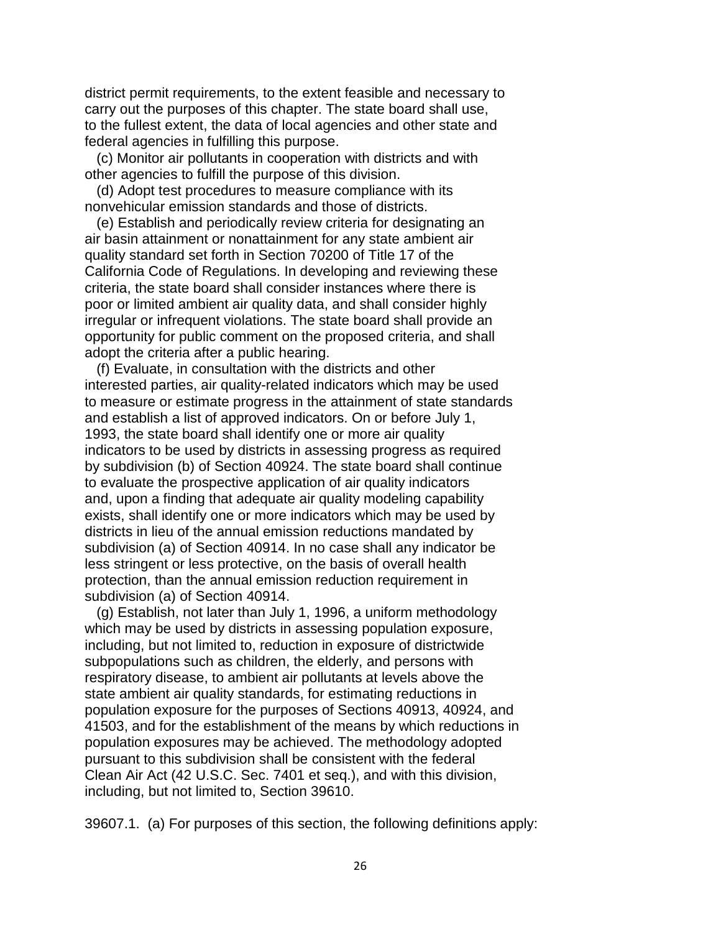federal agencies in fulfilling this purpose. district permit requirements, to the extent feasible and necessary to carry out the purposes of this chapter. The state board shall use, to the fullest extent, the data of local agencies and other state and

 other agencies to fulfill the purpose of this division. (c) Monitor air pollutants in cooperation with districts and with

(d) Adopt test procedures to measure compliance with its nonvehicular emission standards and those of districts.

 air basin attainment or nonattainment for any state ambient air (e) Establish and periodically review criteria for designating an quality standard set forth in Section 70200 of Title 17 of the California Code of Regulations. In developing and reviewing these criteria, the state board shall consider instances where there is poor or limited ambient air quality data, and shall consider highly irregular or infrequent violations. The state board shall provide an opportunity for public comment on the proposed criteria, and shall adopt the criteria after a public hearing.

 and establish a list of approved indicators. On or before July 1, to evaluate the prospective application of air quality indicators (f) Evaluate, in consultation with the districts and other interested parties, air quality-related indicators which may be used to measure or estimate progress in the attainment of state standards 1993, the state board shall identify one or more air quality indicators to be used by districts in assessing progress as required by subdivision (b) of Section 40924. The state board shall continue and, upon a finding that adequate air quality modeling capability exists, shall identify one or more indicators which may be used by districts in lieu of the annual emission reductions mandated by subdivision (a) of Section 40914. In no case shall any indicator be less stringent or less protective, on the basis of overall health protection, than the annual emission reduction requirement in subdivision (a) of Section 40914.

 subpopulations such as children, the elderly, and persons with 41503, and for the establishment of the means by which reductions in (g) Establish, not later than July 1, 1996, a uniform methodology which may be used by districts in assessing population exposure, including, but not limited to, reduction in exposure of districtwide respiratory disease, to ambient air pollutants at levels above the state ambient air quality standards, for estimating reductions in population exposure for the purposes of Sections 40913, 40924, and population exposures may be achieved. The methodology adopted pursuant to this subdivision shall be consistent with the federal Clean Air Act (42 U.S.C. Sec. 7401 et seq.), and with this division, including, but not limited to, Section 39610.

39607.1. (a) For purposes of this section, the following definitions apply: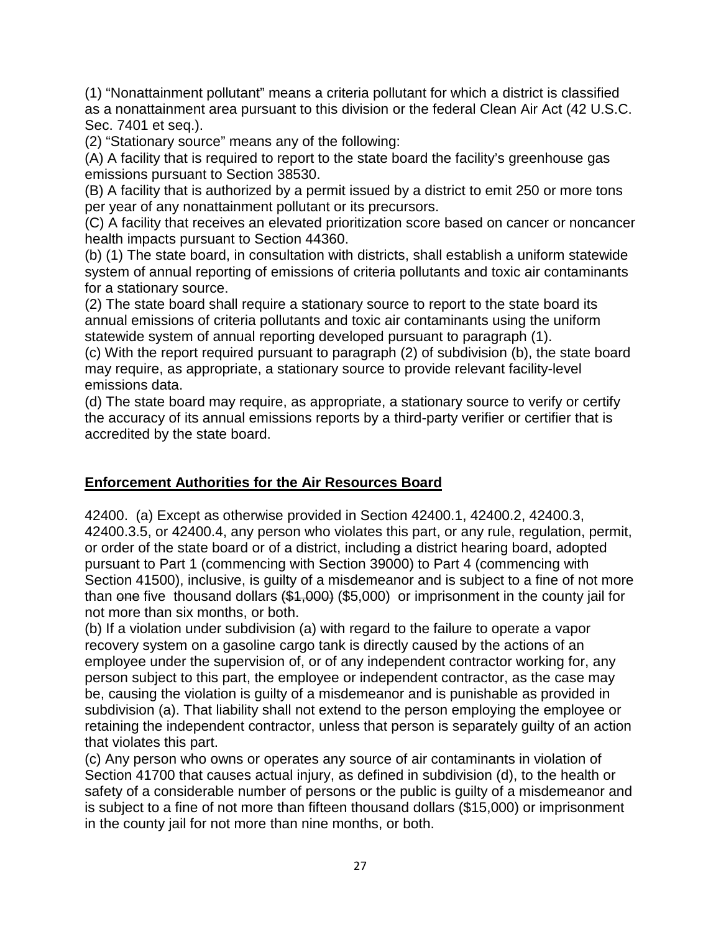(1) "Nonattainment pollutant" means a criteria pollutant for which a district is classified as a nonattainment area pursuant to this division or the federal Clean Air Act (42 U.S.C. Sec. 7401 et seq.).

(2) "Stationary source" means any of the following:

(A) A facility that is required to report to the state board the facility's greenhouse gas emissions pursuant to Section 38530.

 (B) A facility that is authorized by a permit issued by a district to emit 250 or more tons per year of any nonattainment pollutant or its precursors.

 (C) A facility that receives an elevated prioritization score based on cancer or noncancer health impacts pursuant to Section 44360.

 (b) (1) The state board, in consultation with districts, shall establish a uniform statewide system of annual reporting of emissions of criteria pollutants and toxic air contaminants for a stationary source.

(2) The state board shall require a stationary source to report to the state board its annual emissions of criteria pollutants and toxic air contaminants using the uniform statewide system of annual reporting developed pursuant to paragraph (1).

(c) With the report required pursuant to paragraph (2) of subdivision (b), the state board may require, as appropriate, a stationary source to provide relevant facility-level emissions data.

(d) The state board may require, as appropriate, a stationary source to verify or certify the accuracy of its annual emissions reports by a third-party verifier or certifier that is accredited by the state board.

## **Enforcement Authorities for the Air Resources Board**

 42400. (a) Except as otherwise provided in Section 42400.1, 42400.2, 42400.3, 42400.3.5, or 42400.4, any person who violates this part, or any rule, regulation, permit, Section 41500), inclusive, is guilty of a misdemeanor and is subject to a fine of not more than <del>one</del> five thousand dollars <del>(\$1,000)</del> (\$5,000) or imprisonment in the county jail for or order of the state board or of a district, including a district hearing board, adopted pursuant to Part 1 (commencing with Section 39000) to Part 4 (commencing with not more than six months, or both.

 recovery system on a gasoline cargo tank is directly caused by the actions of an (b) If a violation under subdivision (a) with regard to the failure to operate a vapor employee under the supervision of, or of any independent contractor working for, any person subject to this part, the employee or independent contractor, as the case may be, causing the violation is guilty of a misdemeanor and is punishable as provided in subdivision (a). That liability shall not extend to the person employing the employee or retaining the independent contractor, unless that person is separately guilty of an action that violates this part.

(c) Any person who owns or operates any source of air contaminants in violation of Section 41700 that causes actual injury, as defined in subdivision (d), to the health or safety of a considerable number of persons or the public is guilty of a misdemeanor and is subject to a fine of not more than fifteen thousand dollars (\$15,000) or imprisonment in the county jail for not more than nine months, or both.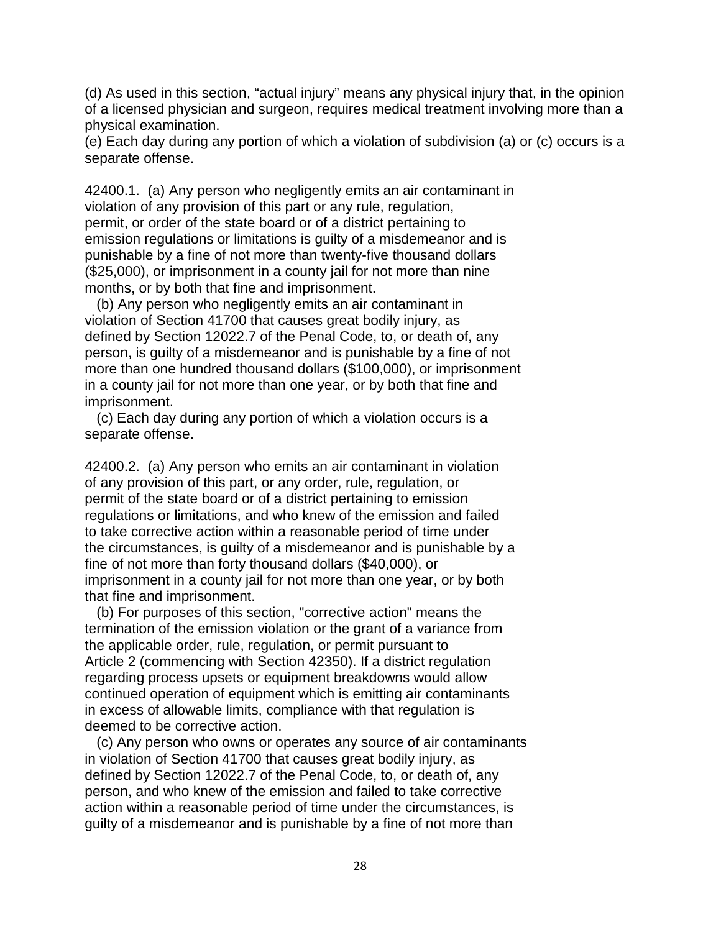(d) As used in this section, "actual injury" means any physical injury that, in the opinion of a licensed physician and surgeon, requires medical treatment involving more than a physical examination.

separate offense. (e) Each day during any portion of which a violation of subdivision (a) or (c) occurs is a

 violation of any provision of this part or any rule, regulation, permit, or order of the state board or of a district pertaining to punishable by a fine of not more than twenty-five thousand dollars (\$25,000), or imprisonment in a county jail for not more than nine 42400.1. (a) Any person who negligently emits an air contaminant in emission regulations or limitations is guilty of a misdemeanor and is months, or by both that fine and imprisonment.

 violation of Section 41700 that causes great bodily injury, as in a county jail for not more than one year, or by both that fine and (b) Any person who negligently emits an air contaminant in defined by Section 12022.7 of the Penal Code, to, or death of, any person, is guilty of a misdemeanor and is punishable by a fine of not more than one hundred thousand dollars (\$100,000), or imprisonment imprisonment.

(c) Each day during any portion of which a violation occurs is a separate offense.

 of any provision of this part, or any order, rule, regulation, or permit of the state board or of a district pertaining to emission imprisonment in a county jail for not more than one year, or by both 42400.2. (a) Any person who emits an air contaminant in violation regulations or limitations, and who knew of the emission and failed to take corrective action within a reasonable period of time under the circumstances, is guilty of a misdemeanor and is punishable by a fine of not more than forty thousand dollars (\$40,000), or that fine and imprisonment.

 termination of the emission violation or the grant of a variance from (b) For purposes of this section, "corrective action" means the the applicable order, rule, regulation, or permit pursuant to Article 2 (commencing with Section 42350). If a district regulation regarding process upsets or equipment breakdowns would allow continued operation of equipment which is emitting air contaminants in excess of allowable limits, compliance with that regulation is deemed to be corrective action.

(c) Any person who owns or operates any source of air contaminants in violation of Section 41700 that causes great bodily injury, as defined by Section 12022.7 of the Penal Code, to, or death of, any person, and who knew of the emission and failed to take corrective action within a reasonable period of time under the circumstances, is guilty of a misdemeanor and is punishable by a fine of not more than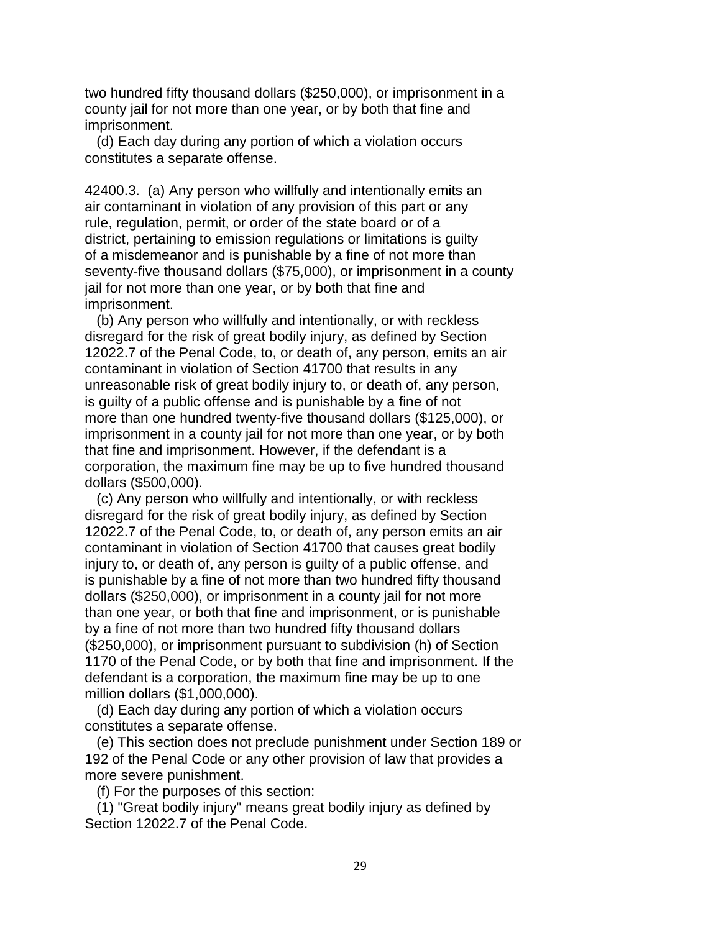county jail for not more than one year, or by both that fine and two hundred fifty thousand dollars (\$250,000), or imprisonment in a imprisonment.

(d) Each day during any portion of which a violation occurs constitutes a separate offense.

 rule, regulation, permit, or order of the state board or of a of a misdemeanor and is punishable by a fine of not more than 42400.3. (a) Any person who willfully and intentionally emits an air contaminant in violation of any provision of this part or any district, pertaining to emission regulations or limitations is guilty seventy-five thousand dollars (\$75,000), or imprisonment in a county jail for not more than one year, or by both that fine and imprisonment.

 imprisonment in a county jail for not more than one year, or by both corporation, the maximum fine may be up to five hundred thousand (b) Any person who willfully and intentionally, or with reckless disregard for the risk of great bodily injury, as defined by Section 12022.7 of the Penal Code, to, or death of, any person, emits an air contaminant in violation of Section 41700 that results in any unreasonable risk of great bodily injury to, or death of, any person, is guilty of a public offense and is punishable by a fine of not more than one hundred twenty-five thousand dollars (\$125,000), or that fine and imprisonment. However, if the defendant is a dollars (\$500,000).

 is punishable by a fine of not more than two hundred fifty thousand than one year, or both that fine and imprisonment, or is punishable (\$250,000), or imprisonment pursuant to subdivision (h) of Section (c) Any person who willfully and intentionally, or with reckless disregard for the risk of great bodily injury, as defined by Section 12022.7 of the Penal Code, to, or death of, any person emits an air contaminant in violation of Section 41700 that causes great bodily injury to, or death of, any person is guilty of a public offense, and dollars (\$250,000), or imprisonment in a county jail for not more by a fine of not more than two hundred fifty thousand dollars 1170 of the Penal Code, or by both that fine and imprisonment. If the defendant is a corporation, the maximum fine may be up to one million dollars (\$1,000,000).

(d) Each day during any portion of which a violation occurs constitutes a separate offense.

(e) This section does not preclude punishment under Section 189 or 192 of the Penal Code or any other provision of law that provides a more severe punishment.

(f) For the purposes of this section:

(1) "Great bodily injury" means great bodily injury as defined by Section 12022.7 of the Penal Code.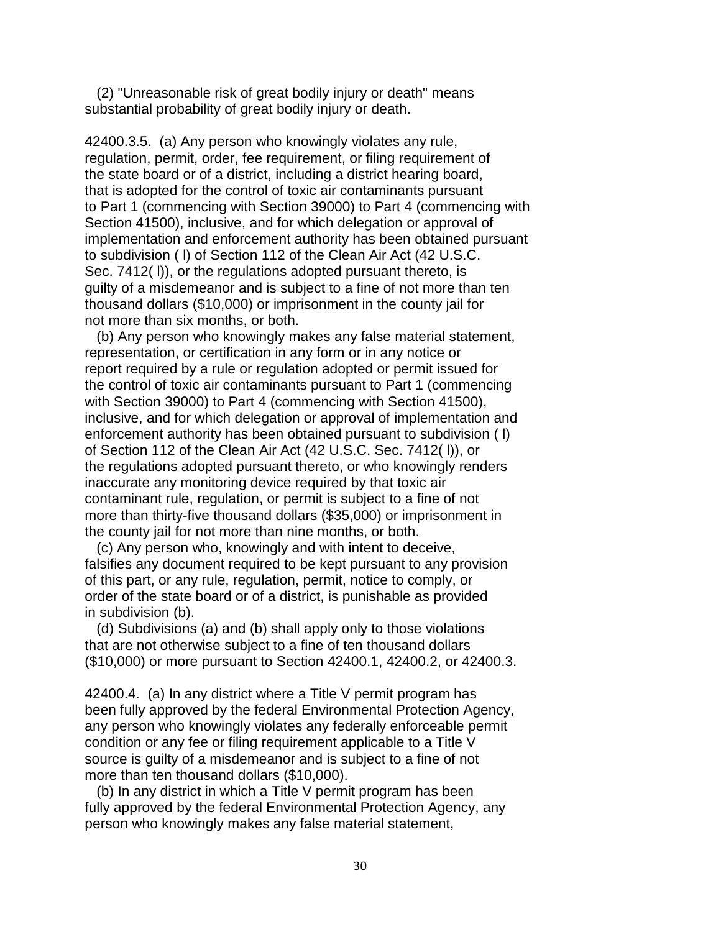(2) "Unreasonable risk of great bodily injury or death" means substantial probability of great bodily injury or death.

 42400.3.5. (a) Any person who knowingly violates any rule, regulation, permit, order, fee requirement, or filing requirement of the state board or of a district, including a district hearing board, that is adopted for the control of toxic air contaminants pursuant to Part 1 (commencing with Section 39000) to Part 4 (commencing with Section 41500), inclusive, and for which delegation or approval of implementation and enforcement authority has been obtained pursuant to subdivision ( l) of Section 112 of the Clean Air Act (42 U.S.C. Sec. 7412(I)), or the regulations adopted pursuant thereto, is guilty of a misdemeanor and is subject to a fine of not more than ten thousand dollars (\$10,000) or imprisonment in the county jail for not more than six months, or both.

 the control of toxic air contaminants pursuant to Part 1 (commencing the county jail for not more than nine months, or both. (b) Any person who knowingly makes any false material statement, representation, or certification in any form or in any notice or report required by a rule or regulation adopted or permit issued for with Section 39000) to Part 4 (commencing with Section 41500), inclusive, and for which delegation or approval of implementation and enforcement authority has been obtained pursuant to subdivision ( l) of Section 112 of the Clean Air Act (42 U.S.C. Sec. 7412( l)), or the regulations adopted pursuant thereto, or who knowingly renders inaccurate any monitoring device required by that toxic air contaminant rule, regulation, or permit is subject to a fine of not more than thirty-five thousand dollars (\$35,000) or imprisonment in

(c) Any person who, knowingly and with intent to deceive, falsifies any document required to be kept pursuant to any provision of this part, or any rule, regulation, permit, notice to comply, or order of the state board or of a district, is punishable as provided in subdivision (b).

(d) Subdivisions (a) and (b) shall apply only to those violations that are not otherwise subject to a fine of ten thousand dollars (\$10,000) or more pursuant to Section 42400.1, 42400.2, or 42400.3.

 condition or any fee or filing requirement applicable to a Title V 42400.4. (a) In any district where a Title V permit program has been fully approved by the federal Environmental Protection Agency, any person who knowingly violates any federally enforceable permit source is guilty of a misdemeanor and is subject to a fine of not more than ten thousand dollars (\$10,000).

 person who knowingly makes any false material statement, (b) In any district in which a Title V permit program has been fully approved by the federal Environmental Protection Agency, any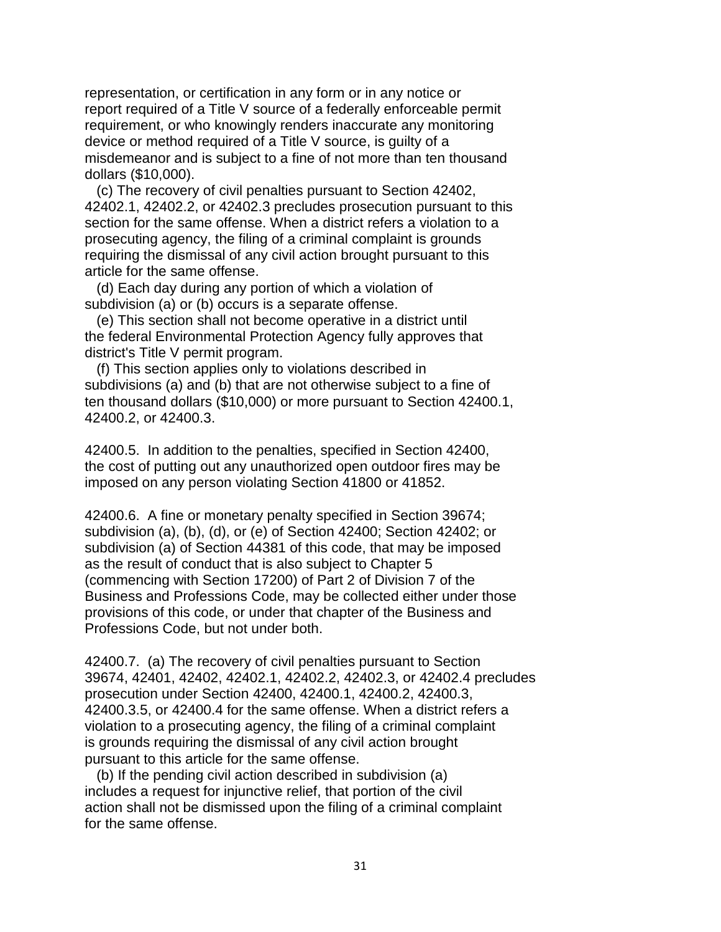report required of a Title V source of a federally enforceable permit misdemeanor and is subject to a fine of not more than ten thousand representation, or certification in any form or in any notice or requirement, or who knowingly renders inaccurate any monitoring device or method required of a Title V source, is guilty of a dollars (\$10,000).

(c) The recovery of civil penalties pursuant to Section 42402, 42402.1, 42402.2, or 42402.3 precludes prosecution pursuant to this section for the same offense. When a district refers a violation to a prosecuting agency, the filing of a criminal complaint is grounds requiring the dismissal of any civil action brought pursuant to this article for the same offense.

(d) Each day during any portion of which a violation of subdivision (a) or (b) occurs is a separate offense.

 district's Title V permit program. (e) This section shall not become operative in a district until the federal Environmental Protection Agency fully approves that

 subdivisions (a) and (b) that are not otherwise subject to a fine of (f) This section applies only to violations described in ten thousand dollars (\$10,000) or more pursuant to Section 42400.1, 42400.2, or 42400.3.

42400.5. In addition to the penalties, specified in Section 42400, the cost of putting out any unauthorized open outdoor fires may be imposed on any person violating Section 41800 or 41852.

 42400.6. A fine or monetary penalty specified in Section 39674; subdivision (a) of Section 44381 of this code, that may be imposed Professions Code, but not under both. subdivision (a), (b), (d), or (e) of Section 42400; Section 42402; or as the result of conduct that is also subject to Chapter 5 (commencing with Section 17200) of Part 2 of Division 7 of the Business and Professions Code, may be collected either under those provisions of this code, or under that chapter of the Business and

 42400.3.5, or 42400.4 for the same offense. When a district refers a is grounds requiring the dismissal of any civil action brought 42400.7. (a) The recovery of civil penalties pursuant to Section 39674, 42401, 42402, 42402.1, 42402.2, 42402.3, or 42402.4 precludes prosecution under Section 42400, 42400.1, 42400.2, 42400.3, violation to a prosecuting agency, the filing of a criminal complaint pursuant to this article for the same offense.

 includes a request for injunctive relief, that portion of the civil (b) If the pending civil action described in subdivision (a) action shall not be dismissed upon the filing of a criminal complaint for the same offense.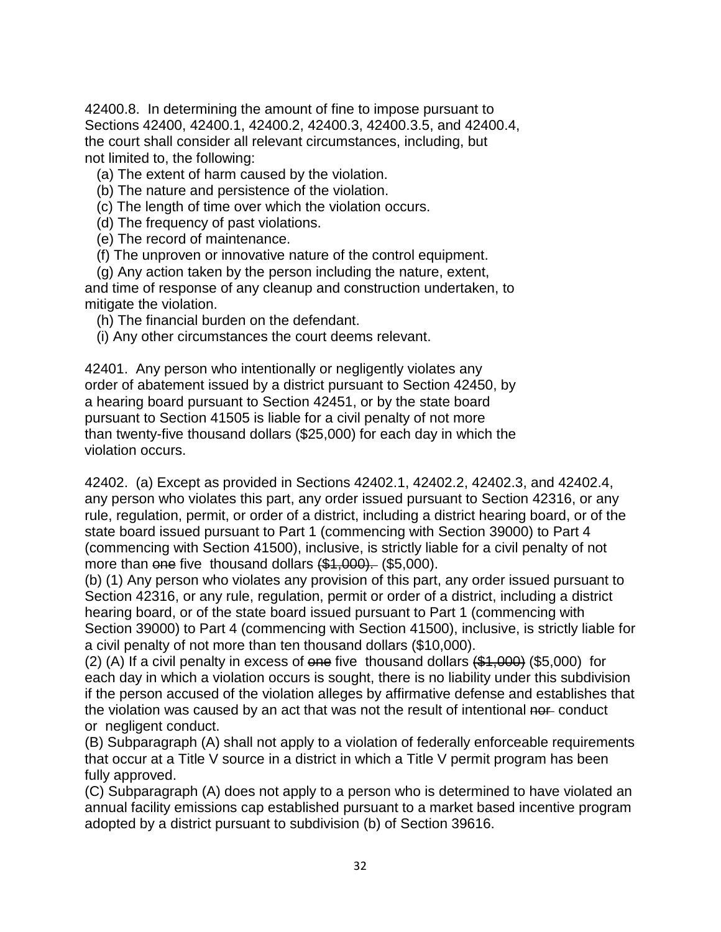42400.8. In determining the amount of fine to impose pursuant to Sections 42400, 42400.1, 42400.2, 42400.3, 42400.3.5, and 42400.4, the court shall consider all relevant circumstances, including, but not limited to, the following:

(a) The extent of harm caused by the violation.

(b) The nature and persistence of the violation.

(c) The length of time over which the violation occurs.

(d) The frequency of past violations.

(e) The record of maintenance.

(f) The unproven or innovative nature of the control equipment.

(g) Any action taken by the person including the nature, extent,

 and time of response of any cleanup and construction undertaken, to mitigate the violation.

(h) The financial burden on the defendant.

(i) Any other circumstances the court deems relevant.

42401. Any person who intentionally or negligently violates any order of abatement issued by a district pursuant to Section 42450, by a hearing board pursuant to Section 42451, or by the state board pursuant to Section 41505 is liable for a civil penalty of not more than twenty-five thousand dollars (\$25,000) for each day in which the violation occurs.

 42402. (a) Except as provided in Sections 42402.1, 42402.2, 42402.3, and 42402.4, any person who violates this part, any order issued pursuant to Section 42316, or any rule, regulation, permit, or order of a district, including a district hearing board, or of the more than <del>one</del> five thousand dollars <del>(\$1,000).</del> (\$5,000). state board issued pursuant to Part 1 (commencing with Section 39000) to Part 4 (commencing with Section 41500), inclusive, is strictly liable for a civil penalty of not

 (b) (1) Any person who violates any provision of this part, any order issued pursuant to hearing board, or of the state board issued pursuant to Part 1 (commencing with Section 42316, or any rule, regulation, permit or order of a district, including a district Section 39000) to Part 4 (commencing with Section 41500), inclusive, is strictly liable for a civil penalty of not more than ten thousand dollars (\$10,000).

(2) (A) If a civil penalty in excess of one five thousand dollars  $(\$1,\000)$  (\$5,000) for each day in which a violation occurs is sought, there is no liability under this subdivision if the person accused of the violation alleges by affirmative defense and establishes that the violation was caused by an act that was not the result of intentional nor conduct or negligent conduct.

(B) Subparagraph (A) shall not apply to a violation of federally enforceable requirements that occur at a Title V source in a district in which a Title V permit program has been fully approved.

 (C) Subparagraph (A) does not apply to a person who is determined to have violated an annual facility emissions cap established pursuant to a market based incentive program adopted by a district pursuant to subdivision (b) of Section 39616.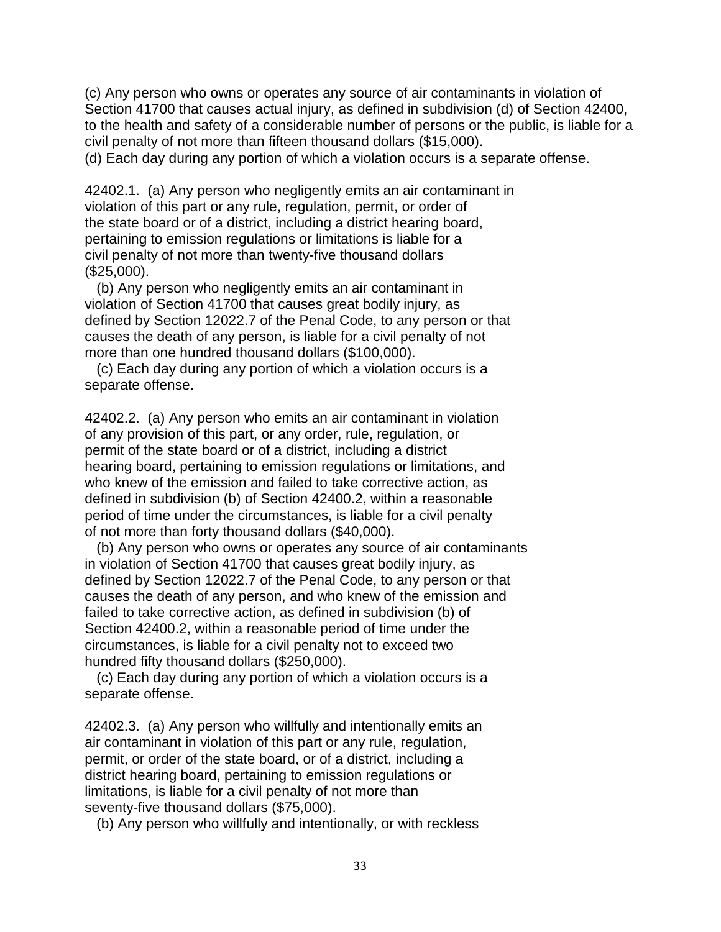to the health and safety of a considerable number of persons or the public, is liable for a (c) Any person who owns or operates any source of air contaminants in violation of Section 41700 that causes actual injury, as defined in subdivision (d) of Section 42400, civil penalty of not more than fifteen thousand dollars (\$15,000).

(d) Each day during any portion of which a violation occurs is a separate offense.<br>42402.1. (a) Any person who negligently emits an air contaminant in the state board or of a district, including a district hearing board, violation of this part or any rule, regulation, permit, or order of pertaining to emission regulations or limitations is liable for a civil penalty of not more than twenty-five thousand dollars (\$25,000).

(b) Any person who negligently emits an air contaminant in violation of Section 41700 that causes great bodily injury, as defined by Section 12022.7 of the Penal Code, to any person or that causes the death of any person, is liable for a civil penalty of not more than one hundred thousand dollars (\$100,000).

(c) Each day during any portion of which a violation occurs is a separate offense.

 of any provision of this part, or any order, rule, regulation, or 42402.2. (a) Any person who emits an air contaminant in violation permit of the state board or of a district, including a district hearing board, pertaining to emission regulations or limitations, and who knew of the emission and failed to take corrective action, as defined in subdivision (b) of Section 42400.2, within a reasonable period of time under the circumstances, is liable for a civil penalty of not more than forty thousand dollars (\$40,000).

(b) Any person who owns or operates any source of air contaminants in violation of Section 41700 that causes great bodily injury, as defined by Section 12022.7 of the Penal Code, to any person or that causes the death of any person, and who knew of the emission and failed to take corrective action, as defined in subdivision (b) of Section 42400.2, within a reasonable period of time under the circumstances, is liable for a civil penalty not to exceed two hundred fifty thousand dollars (\$250,000).

(c) Each day during any portion of which a violation occurs is a separate offense.

 air contaminant in violation of this part or any rule, regulation, permit, or order of the state board, or of a district, including a limitations, is liable for a civil penalty of not more than 42402.3. (a) Any person who willfully and intentionally emits an district hearing board, pertaining to emission regulations or seventy-five thousand dollars (\$75,000).

(b) Any person who willfully and intentionally, or with reckless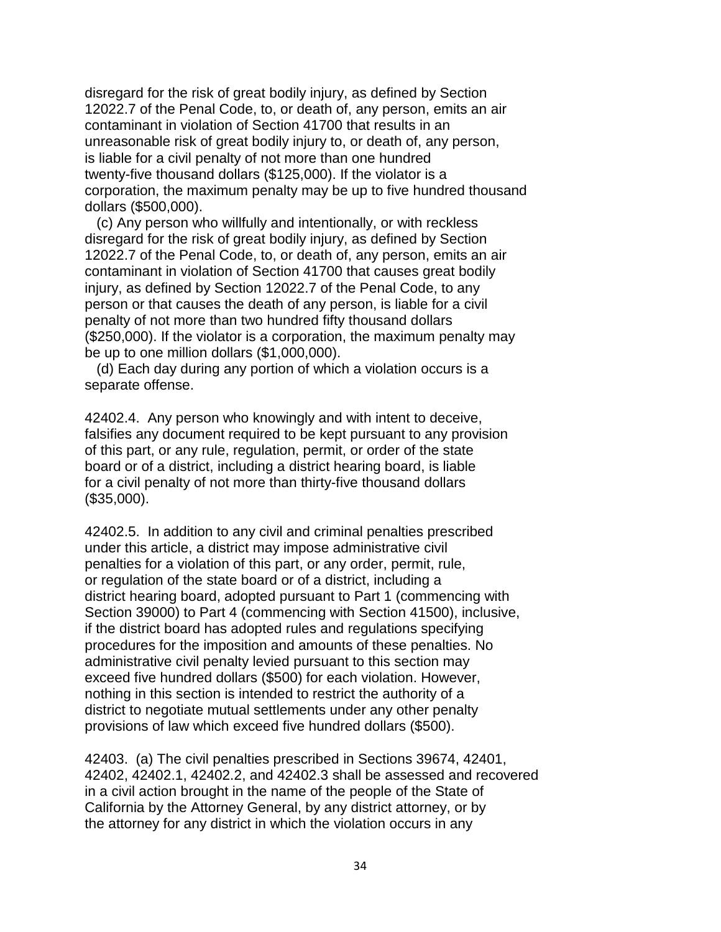corporation, the maximum penalty may be up to five hundred thousand disregard for the risk of great bodily injury, as defined by Section 12022.7 of the Penal Code, to, or death of, any person, emits an air contaminant in violation of Section 41700 that results in an unreasonable risk of great bodily injury to, or death of, any person, is liable for a civil penalty of not more than one hundred twenty-five thousand dollars (\$125,000). If the violator is a dollars (\$500,000).

(c) Any person who willfully and intentionally, or with reckless disregard for the risk of great bodily injury, as defined by Section 12022.7 of the Penal Code, to, or death of, any person, emits an air contaminant in violation of Section 41700 that causes great bodily injury, as defined by Section 12022.7 of the Penal Code, to any person or that causes the death of any person, is liable for a civil penalty of not more than two hundred fifty thousand dollars (\$250,000). If the violator is a corporation, the maximum penalty may be up to one million dollars (\$1,000,000).

(d) Each day during any portion of which a violation occurs is a separate offense.

 of this part, or any rule, regulation, permit, or order of the state 42402.4. Any person who knowingly and with intent to deceive, falsifies any document required to be kept pursuant to any provision board or of a district, including a district hearing board, is liable for a civil penalty of not more than thirty-five thousand dollars (\$35,000).

 penalties for a violation of this part, or any order, permit, rule, or regulation of the state board or of a district, including a district to negotiate mutual settlements under any other penalty 42402.5. In addition to any civil and criminal penalties prescribed under this article, a district may impose administrative civil district hearing board, adopted pursuant to Part 1 (commencing with Section 39000) to Part 4 (commencing with Section 41500), inclusive, if the district board has adopted rules and regulations specifying procedures for the imposition and amounts of these penalties. No administrative civil penalty levied pursuant to this section may exceed five hundred dollars (\$500) for each violation. However, nothing in this section is intended to restrict the authority of a provisions of law which exceed five hundred dollars (\$500).

 42402, 42402.1, 42402.2, and 42402.3 shall be assessed and recovered 42403. (a) The civil penalties prescribed in Sections 39674, 42401, in a civil action brought in the name of the people of the State of California by the Attorney General, by any district attorney, or by the attorney for any district in which the violation occurs in any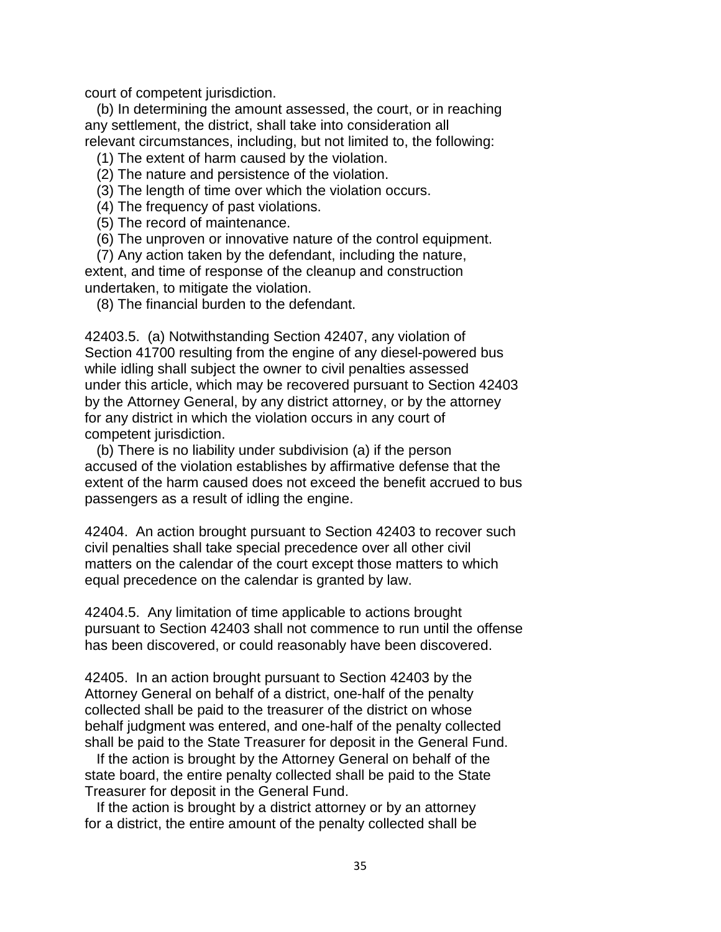court of competent jurisdiction.

(b) In determining the amount assessed, the court, or in reaching any settlement, the district, shall take into consideration all relevant circumstances, including, but not limited to, the following:

(1) The extent of harm caused by the violation.

(2) The nature and persistence of the violation.

(3) The length of time over which the violation occurs.

(4) The frequency of past violations.

(5) The record of maintenance.

(6) The unproven or innovative nature of the control equipment.

(7) Any action taken by the defendant, including the nature, extent, and time of response of the cleanup and construction undertaken, to mitigate the violation.

(8) The financial burden to the defendant.

42403.5. (a) Notwithstanding Section 42407, any violation of Section 41700 resulting from the engine of any diesel-powered bus while idling shall subject the owner to civil penalties assessed under this article, which may be recovered pursuant to Section 42403 by the Attorney General, by any district attorney, or by the attorney for any district in which the violation occurs in any court of competent jurisdiction.

(b) There is no liability under subdivision (a) if the person accused of the violation establishes by affirmative defense that the extent of the harm caused does not exceed the benefit accrued to bus passengers as a result of idling the engine.

 42404. An action brought pursuant to Section 42403 to recover such civil penalties shall take special precedence over all other civil matters on the calendar of the court except those matters to which equal precedence on the calendar is granted by law.

 42404.5. Any limitation of time applicable to actions brought pursuant to Section 42403 shall not commence to run until the offense has been discovered, or could reasonably have been discovered.

42405. In an action brought pursuant to Section 42403 by the Attorney General on behalf of a district, one-half of the penalty collected shall be paid to the treasurer of the district on whose behalf judgment was entered, and one-half of the penalty collected shall be paid to the State Treasurer for deposit in the General Fund.

 Treasurer for deposit in the General Fund. If the action is brought by the Attorney General on behalf of the state board, the entire penalty collected shall be paid to the State

If the action is brought by a district attorney or by an attorney for a district, the entire amount of the penalty collected shall be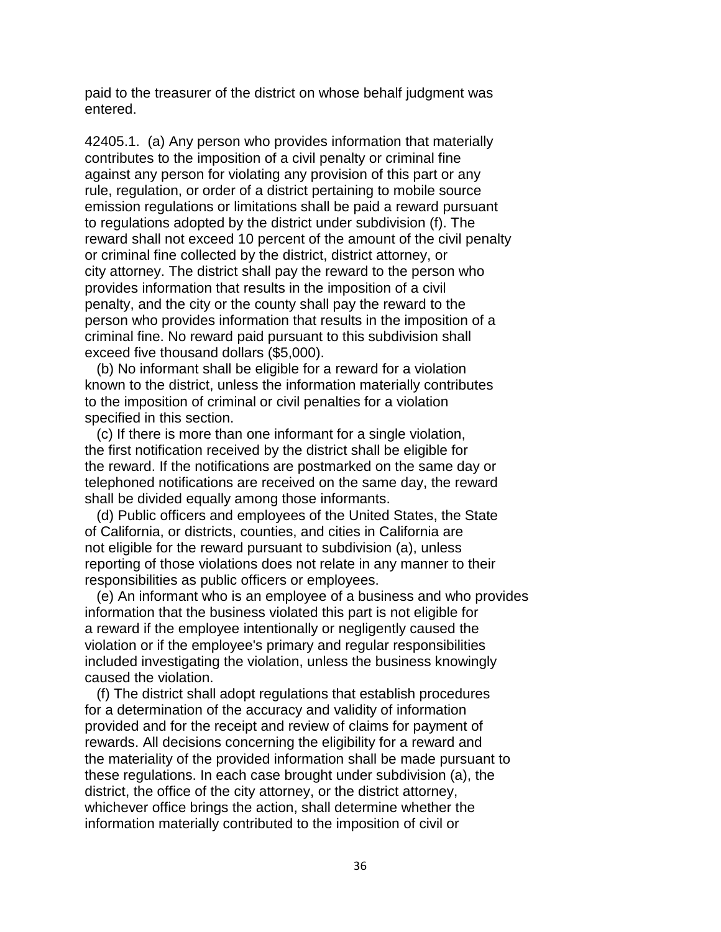paid to the treasurer of the district on whose behalf judgment was entered.

 against any person for violating any provision of this part or any 42405.1. (a) Any person who provides information that materially contributes to the imposition of a civil penalty or criminal fine rule, regulation, or order of a district pertaining to mobile source emission regulations or limitations shall be paid a reward pursuant to regulations adopted by the district under subdivision (f). The reward shall not exceed 10 percent of the amount of the civil penalty or criminal fine collected by the district, district attorney, or city attorney. The district shall pay the reward to the person who provides information that results in the imposition of a civil penalty, and the city or the county shall pay the reward to the person who provides information that results in the imposition of a criminal fine. No reward paid pursuant to this subdivision shall exceed five thousand dollars (\$5,000).

(b) No informant shall be eligible for a reward for a violation known to the district, unless the information materially contributes to the imposition of criminal or civil penalties for a violation specified in this section.

(c) If there is more than one informant for a single violation, the first notification received by the district shall be eligible for the reward. If the notifications are postmarked on the same day or telephoned notifications are received on the same day, the reward shall be divided equally among those informants.

(d) Public officers and employees of the United States, the State of California, or districts, counties, and cities in California are not eligible for the reward pursuant to subdivision (a), unless reporting of those violations does not relate in any manner to their responsibilities as public officers or employees.

(e) An informant who is an employee of a business and who provides information that the business violated this part is not eligible for a reward if the employee intentionally or negligently caused the violation or if the employee's primary and regular responsibilities included investigating the violation, unless the business knowingly caused the violation.

 provided and for the receipt and review of claims for payment of (f) The district shall adopt regulations that establish procedures for a determination of the accuracy and validity of information rewards. All decisions concerning the eligibility for a reward and the materiality of the provided information shall be made pursuant to these regulations. In each case brought under subdivision (a), the district, the office of the city attorney, or the district attorney, whichever office brings the action, shall determine whether the information materially contributed to the imposition of civil or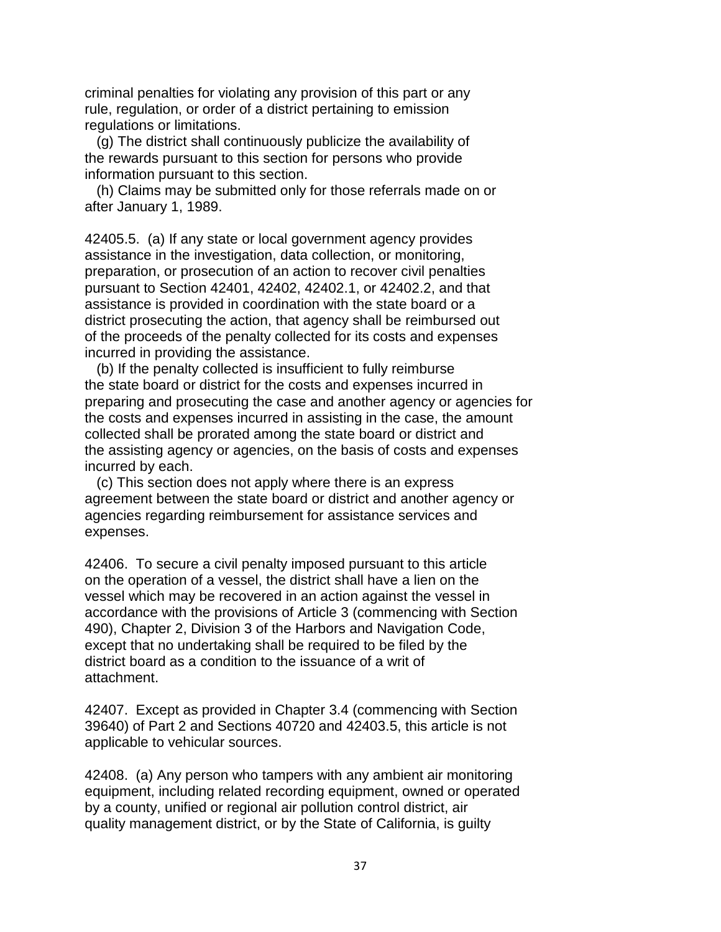criminal penalties for violating any provision of this part or any rule, regulation, or order of a district pertaining to emission regulations or limitations.

(g) The district shall continuously publicize the availability of the rewards pursuant to this section for persons who provide information pursuant to this section.

(h) Claims may be submitted only for those referrals made on or after January 1, 1989.

 preparation, or prosecution of an action to recover civil penalties 42405.5. (a) If any state or local government agency provides assistance in the investigation, data collection, or monitoring, pursuant to Section 42401, 42402, 42402.1, or 42402.2, and that assistance is provided in coordination with the state board or a district prosecuting the action, that agency shall be reimbursed out of the proceeds of the penalty collected for its costs and expenses incurred in providing the assistance.

 the state board or district for the costs and expenses incurred in (b) If the penalty collected is insufficient to fully reimburse preparing and prosecuting the case and another agency or agencies for the costs and expenses incurred in assisting in the case, the amount collected shall be prorated among the state board or district and the assisting agency or agencies, on the basis of costs and expenses incurred by each.

 agreement between the state board or district and another agency or (c) This section does not apply where there is an express agencies regarding reimbursement for assistance services and expenses.

 on the operation of a vessel, the district shall have a lien on the 42406. To secure a civil penalty imposed pursuant to this article vessel which may be recovered in an action against the vessel in accordance with the provisions of Article 3 (commencing with Section 490), Chapter 2, Division 3 of the Harbors and Navigation Code, except that no undertaking shall be required to be filed by the district board as a condition to the issuance of a writ of attachment.

42407. Except as provided in Chapter 3.4 (commencing with Section 39640) of Part 2 and Sections 40720 and 42403.5, this article is not applicable to vehicular sources.

42408. (a) Any person who tampers with any ambient air monitoring equipment, including related recording equipment, owned or operated by a county, unified or regional air pollution control district, air quality management district, or by the State of California, is guilty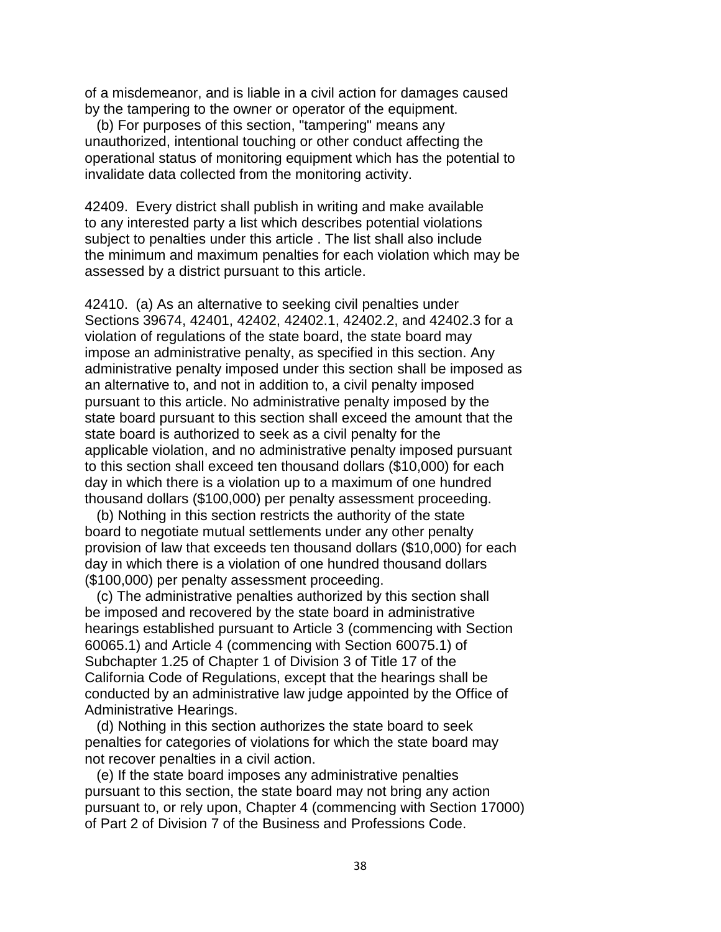of a misdemeanor, and is liable in a civil action for damages caused by the tampering to the owner or operator of the equipment.

(b) For purposes of this section, "tampering" means any unauthorized, intentional touching or other conduct affecting the operational status of monitoring equipment which has the potential to invalidate data collected from the monitoring activity.

 subject to penalties under this article . The list shall also include 42409. Every district shall publish in writing and make available to any interested party a list which describes potential violations the minimum and maximum penalties for each violation which may be assessed by a district pursuant to this article.

 Sections 39674, 42401, 42402, 42402.1, 42402.2, and 42402.3 for a 42410. (a) As an alternative to seeking civil penalties under violation of regulations of the state board, the state board may impose an administrative penalty, as specified in this section. Any administrative penalty imposed under this section shall be imposed as an alternative to, and not in addition to, a civil penalty imposed pursuant to this article. No administrative penalty imposed by the state board pursuant to this section shall exceed the amount that the state board is authorized to seek as a civil penalty for the applicable violation, and no administrative penalty imposed pursuant to this section shall exceed ten thousand dollars (\$10,000) for each day in which there is a violation up to a maximum of one hundred thousand dollars (\$100,000) per penalty assessment proceeding.

 board to negotiate mutual settlements under any other penalty provision of law that exceeds ten thousand dollars (\$10,000) for each (b) Nothing in this section restricts the authority of the state day in which there is a violation of one hundred thousand dollars (\$100,000) per penalty assessment proceeding.

 conducted by an administrative law judge appointed by the Office of (c) The administrative penalties authorized by this section shall be imposed and recovered by the state board in administrative hearings established pursuant to Article 3 (commencing with Section 60065.1) and Article 4 (commencing with Section 60075.1) of Subchapter 1.25 of Chapter 1 of Division 3 of Title 17 of the California Code of Regulations, except that the hearings shall be Administrative Hearings.

(d) Nothing in this section authorizes the state board to seek penalties for categories of violations for which the state board may not recover penalties in a civil action.

(e) If the state board imposes any administrative penalties pursuant to this section, the state board may not bring any action pursuant to, or rely upon, Chapter 4 (commencing with Section 17000) of Part 2 of Division 7 of the Business and Professions Code.